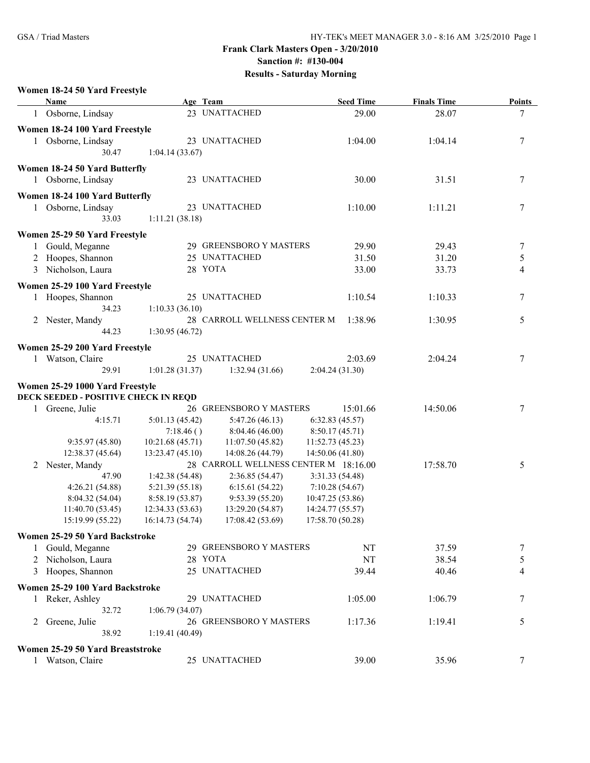#### **Women 18-24 50 Yard Freestyle**

|   | Name                                 | Age Team                            |                                      | <b>Seed Time</b>                      | <b>Finals Time</b> | <b>Points</b>  |
|---|--------------------------------------|-------------------------------------|--------------------------------------|---------------------------------------|--------------------|----------------|
|   | 1 Osborne, Lindsay                   |                                     | 23 UNATTACHED                        | 29.00                                 | 28.07              | 7              |
|   | Women 18-24 100 Yard Freestyle       |                                     |                                      |                                       |                    |                |
|   | 1 Osborne, Lindsay                   |                                     | 23 UNATTACHED                        | 1:04.00                               | 1:04.14            | 7              |
|   | 30.47                                | 1:04.14(33.67)                      |                                      |                                       |                    |                |
|   | Women 18-24 50 Yard Butterfly        |                                     |                                      |                                       |                    |                |
|   | 1 Osborne, Lindsay                   |                                     | 23 UNATTACHED                        | 30.00                                 | 31.51              | 7              |
|   | Women 18-24 100 Yard Butterfly       |                                     |                                      |                                       |                    |                |
|   | 1 Osborne, Lindsay                   |                                     | 23 UNATTACHED                        | 1:10.00                               | 1:11.21            | 7              |
|   | 33.03                                | 1:11.21 (38.18)                     |                                      |                                       |                    |                |
|   | Women 25-29 50 Yard Freestyle        |                                     |                                      |                                       |                    |                |
|   | Gould, Meganne                       |                                     | 29 GREENSBORO Y MASTERS              | 29.90                                 | 29.43              | 7              |
|   | Hoopes, Shannon                      |                                     | 25 UNATTACHED                        | 31.50                                 | 31.20              | 5              |
| 3 | Nicholson, Laura                     | 28 YOTA                             |                                      | 33.00                                 | 33.73              | $\overline{4}$ |
|   | Women 25-29 100 Yard Freestyle       |                                     |                                      |                                       |                    |                |
|   | 1 Hoopes, Shannon                    |                                     | 25 UNATTACHED                        | 1:10.54                               | 1:10.33            | 7              |
|   | 34.23                                | 1:10.33(36.10)                      |                                      |                                       |                    |                |
|   | 2 Nester, Mandy                      |                                     | 28 CARROLL WELLNESS CENTER M         | 1:38.96                               | 1:30.95            | 5              |
|   | 44.23                                | 1:30.95(46.72)                      |                                      |                                       |                    |                |
|   | Women 25-29 200 Yard Freestyle       |                                     |                                      |                                       |                    |                |
|   | 1 Watson, Claire                     |                                     | 25 UNATTACHED                        | 2:03.69                               | 2:04.24            | 7              |
|   | 29.91                                | 1:01.28(31.37)                      | 1:32.94 (31.66)                      | 2:04.24(31.30)                        |                    |                |
|   | Women 25-29 1000 Yard Freestyle      |                                     |                                      |                                       |                    |                |
|   | DECK SEEDED - POSITIVE CHECK IN REQD |                                     |                                      |                                       |                    |                |
|   | 1 Greene, Julie                      |                                     | 26 GREENSBORO Y MASTERS              | 15:01.66                              | 14:50.06           | 7              |
|   | 4:15.71                              | 5:01.13 (45.42)                     | 5:47.26(46.13)                       | 6:32.83(45.57)                        |                    |                |
|   |                                      | 7:18.46()                           | 8:04.46(46.00)                       | 8:50.17(45.71)                        |                    |                |
|   | 9:35.97(45.80)                       | 10:21.68 (45.71)                    | 11:07.50(45.82)                      | 11:52.73(45.23)                       |                    |                |
|   | 12:38.37 (45.64)                     | 13:23.47 (45.10)                    | 14:08.26 (44.79)                     | 14:50.06 (41.80)                      |                    |                |
|   | 2 Nester, Mandy                      |                                     |                                      | 28 CARROLL WELLNESS CENTER M 18:16.00 | 17:58.70           | 5              |
|   | 47.90                                | 1:42.38(54.48)                      | 2:36.85(54.47)                       | 3:31.33 (54.48)                       |                    |                |
|   | 4:26.21(54.88)                       | 5:21.39(55.18)                      | 6:15.61(54.22)                       | 7:10.28(54.67)                        |                    |                |
|   | 8:04.32(54.04)                       | 8:58.19(53.87)                      | 9:53.39(55.20)                       | 10:47.25(53.86)                       |                    |                |
|   | 11:40.70(53.45)<br>15:19.99 (55.22)  | 12:34.33(53.63)<br>16:14.73 (54.74) | 13:29.20 (54.87)<br>17:08.42 (53.69) | 14:24.77 (55.57)<br>17:58.70 (50.28)  |                    |                |
|   |                                      |                                     |                                      |                                       |                    |                |
|   | Women 25-29 50 Yard Backstroke       |                                     | 29 GREENSBORO Y MASTERS              |                                       |                    |                |
|   | Gould, Meganne                       |                                     |                                      | NT                                    | 37.59              | 7              |
| 2 | Nicholson, Laura                     | 28 YOTA                             |                                      | NT                                    | 38.54              | 5              |
|   | 3 Hoopes, Shannon                    |                                     | 25 UNATTACHED                        | 39.44                                 | 40.46              | 4              |
|   | Women 25-29 100 Yard Backstroke      |                                     |                                      |                                       |                    |                |
|   | Reker, Ashley                        |                                     | 29 UNATTACHED                        | 1:05.00                               | 1:06.79            | 7              |
|   | 32.72                                | 1:06.79(34.07)                      |                                      |                                       |                    |                |
| 2 | Greene, Julie                        |                                     | 26 GREENSBORO Y MASTERS              | 1:17.36                               | 1:19.41            | 5              |
|   | 38.92                                | 1:19.41(40.49)                      |                                      |                                       |                    |                |
|   | Women 25-29 50 Yard Breaststroke     |                                     |                                      |                                       |                    |                |
|   | 1 Watson, Claire                     |                                     | 25 UNATTACHED                        | 39.00                                 | 35.96              | 7              |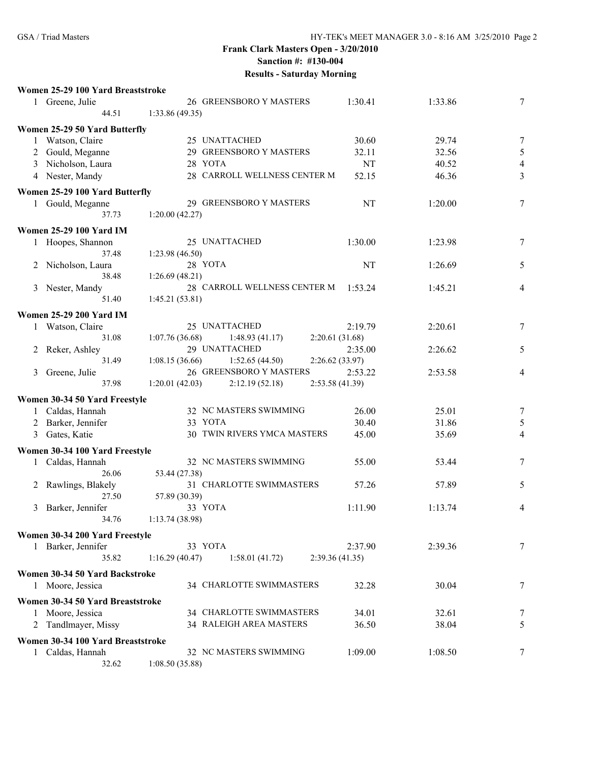| Women 25-29 100 Yard Breaststroke |                         |         |         |  |
|-----------------------------------|-------------------------|---------|---------|--|
| Greene. Julie                     | 26 GREENSBORO Y MASTERS | 1:30.41 | 1:33.86 |  |
|                                   | 1.22 96 (10.25)         |         |         |  |

|   | 44.51                                              | 1:33.86 (49.35) |                              |                 |         |                          |
|---|----------------------------------------------------|-----------------|------------------------------|-----------------|---------|--------------------------|
|   | Women 25-29 50 Yard Butterfly                      |                 |                              |                 |         |                          |
|   | 1 Watson, Claire                                   |                 | 25 UNATTACHED                | 30.60           | 29.74   | $\tau$                   |
| 2 | Gould, Meganne                                     |                 | 29 GREENSBORO Y MASTERS      | 32.11           | 32.56   | 5                        |
| 3 | Nicholson, Laura                                   |                 | 28 YOTA                      | NT              | 40.52   | $\overline{\mathcal{A}}$ |
|   | 4 Nester, Mandy                                    |                 | 28 CARROLL WELLNESS CENTER M | 52.15           | 46.36   | 3                        |
|   | Women 25-29 100 Yard Butterfly                     |                 |                              |                 |         |                          |
|   | 1 Gould, Meganne                                   |                 | 29 GREENSBORO Y MASTERS      | NT              | 1:20.00 | $\tau$                   |
|   | 37.73                                              | 1:20.00(42.27)  |                              |                 |         |                          |
|   | <b>Women 25-29 100 Yard IM</b>                     |                 |                              |                 |         |                          |
|   | 1 Hoopes, Shannon                                  |                 | 25 UNATTACHED                | 1:30.00         | 1:23.98 | 7                        |
|   | 37.48                                              | 1:23.98(46.50)  |                              |                 |         |                          |
|   | 2 Nicholson, Laura                                 |                 | 28 YOTA                      | NT              | 1:26.69 | 5                        |
|   | 38.48                                              | 1:26.69(48.21)  |                              |                 |         |                          |
|   | 3 Nester, Mandy                                    |                 | 28 CARROLL WELLNESS CENTER M | 1:53.24         | 1:45.21 | 4                        |
|   | 51.40                                              | 1:45.21(53.81)  |                              |                 |         |                          |
|   | <b>Women 25-29 200 Yard IM</b>                     |                 |                              |                 |         |                          |
|   | 1 Watson, Claire                                   |                 | 25 UNATTACHED                | 2:19.79         | 2:20.61 | 7                        |
|   | 31.08                                              | 1:07.76(36.68)  | 1:48.93(41.17)               | 2:20.61(31.68)  |         |                          |
|   | 2 Reker, Ashley                                    |                 | 29 UNATTACHED                | 2:35.00         | 2:26.62 | 5                        |
|   | 31.49                                              | 1:08.15(36.66)  | 1:52.65(44.50)               | 2:26.62 (33.97) |         |                          |
| 3 | Greene, Julie                                      |                 | 26 GREENSBORO Y MASTERS      | 2:53.22         | 2:53.58 | 4                        |
|   | 37.98                                              | 1:20.01(42.03)  | 2:12.19(52.18)               | 2:53.58 (41.39) |         |                          |
|   | Women 30-34 50 Yard Freestyle                      |                 |                              |                 |         |                          |
|   | 1 Caldas, Hannah                                   |                 | 32 NC MASTERS SWIMMING       | 26.00           | 25.01   | $\tau$                   |
|   | 2 Barker, Jennifer                                 |                 | 33 YOTA                      | 30.40           | 31.86   | $\sqrt{5}$               |
| 3 | Gates, Katie                                       |                 | 30 TWIN RIVERS YMCA MASTERS  | 45.00           | 35.69   | $\overline{4}$           |
|   |                                                    |                 |                              |                 |         |                          |
|   | Women 30-34 100 Yard Freestyle<br>1 Caldas, Hannah |                 | 32 NC MASTERS SWIMMING       | 55.00           | 53.44   | 7                        |
|   | 26.06                                              | 53.44 (27.38)   |                              |                 |         |                          |
|   | 2 Rawlings, Blakely                                |                 | 31 CHARLOTTE SWIMMASTERS     | 57.26           | 57.89   | 5                        |
|   | 27.50                                              | 57.89 (30.39)   |                              |                 |         |                          |
|   | 3 Barker, Jennifer                                 |                 | 33 YOTA                      | 1:11.90         | 1:13.74 | 4                        |
|   | 34.76                                              | 1:13.74(38.98)  |                              |                 |         |                          |
|   |                                                    |                 |                              |                 |         |                          |
|   | Women 30-34 200 Yard Freestyle<br>Barker, Jennifer |                 | 33 YOTA                      | 2:37.90         | 2:39.36 | 7                        |
| 1 | 35.82                                              | 1:16.29(40.47)  | 1:58.01(41.72)               | 2:39.36(41.35)  |         |                          |
|   |                                                    |                 |                              |                 |         |                          |
|   | Women 30-34 50 Yard Backstroke                     |                 |                              |                 |         |                          |
|   | 1 Moore, Jessica                                   |                 | 34 CHARLOTTE SWIMMASTERS     | 32.28           | 30.04   | 7                        |
|   | Women 30-34 50 Yard Breaststroke                   |                 |                              |                 |         |                          |
|   | Moore, Jessica                                     |                 | 34 CHARLOTTE SWIMMASTERS     | 34.01           | 32.61   | 7                        |
| 2 | Tandlmayer, Missy                                  |                 | 34 RALEIGH AREA MASTERS      | 36.50           | 38.04   | 5                        |
|   | Women 30-34 100 Yard Breaststroke                  |                 |                              |                 |         |                          |
|   | 1 Caldas, Hannah                                   |                 | 32 NC MASTERS SWIMMING       | 1:09.00         | 1:08.50 | 7                        |
|   | 32.62                                              | 1:08.50(35.88)  |                              |                 |         |                          |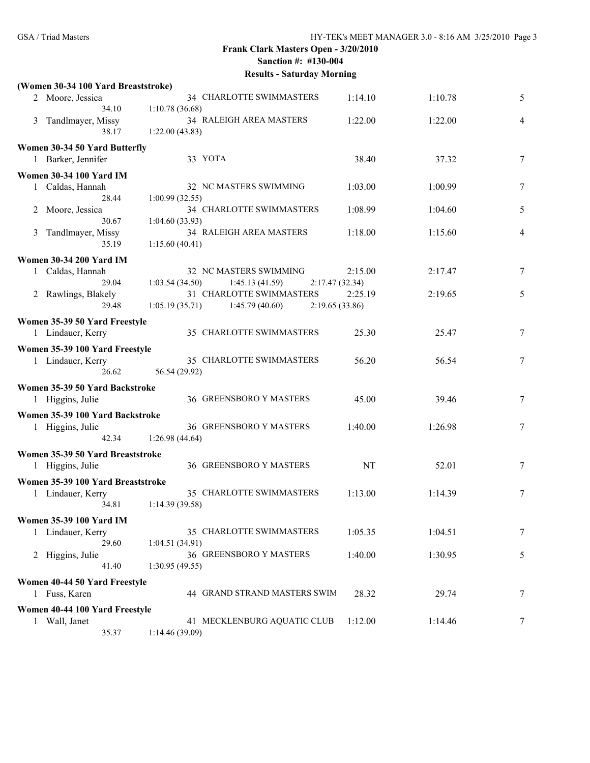|   | (Women 30-34 100 Yard Breaststroke) | $\frac{1}{2}$                     |                 |         |        |
|---|-------------------------------------|-----------------------------------|-----------------|---------|--------|
|   | 2 Moore, Jessica                    | 34 CHARLOTTE SWIMMASTERS          | 1:14.10         | 1:10.78 | 5      |
|   | 34.10                               | 1:10.78(36.68)                    |                 |         |        |
|   | 3 Tandlmayer, Missy                 | 34 RALEIGH AREA MASTERS           | 1:22.00         | 1:22.00 | 4      |
|   | 38.17                               | 1:22.00(43.83)                    |                 |         |        |
|   | Women 30-34 50 Yard Butterfly       |                                   |                 |         |        |
|   | 1 Barker, Jennifer                  | 33 YOTA                           | 38.40           | 37.32   | 7      |
|   | <b>Women 30-34 100 Yard IM</b>      |                                   |                 |         |        |
|   | 1 Caldas, Hannah                    | 32 NC MASTERS SWIMMING            | 1:03.00         | 1:00.99 | 7      |
|   | 28.44                               | 1:00.99(32.55)                    |                 |         |        |
| 2 | Moore, Jessica                      | 34 CHARLOTTE SWIMMASTERS          | 1:08.99         | 1:04.60 | 5      |
|   | 30.67                               | 1:04.60(33.93)                    |                 |         |        |
| 3 | Tandlmayer, Missy                   | 34 RALEIGH AREA MASTERS           | 1:18.00         | 1:15.60 | 4      |
|   | 35.19                               | 1:15.60(40.41)                    |                 |         |        |
|   |                                     |                                   |                 |         |        |
|   | <b>Women 30-34 200 Yard IM</b>      |                                   |                 |         |        |
|   | 1 Caldas, Hannah                    | 32 NC MASTERS SWIMMING            | 2:15.00         | 2:17.47 | 7      |
|   | 29.04                               | 1:03.54(34.50)<br>1:45.13(41.59)  | 2:17.47(32.34)  |         |        |
|   | 2 Rawlings, Blakely                 | 31 CHARLOTTE SWIMMASTERS          | 2:25.19         | 2:19.65 | 5      |
|   | 29.48                               | $1:05.19(35.71)$ $1:45.79(40.60)$ | 2:19.65 (33.86) |         |        |
|   | Women 35-39 50 Yard Freestyle       |                                   |                 |         |        |
|   | 1 Lindauer, Kerry                   | 35 CHARLOTTE SWIMMASTERS          | 25.30           | 25.47   | 7      |
|   | Women 35-39 100 Yard Freestyle      |                                   |                 |         |        |
|   | 1 Lindauer, Kerry                   | 35 CHARLOTTE SWIMMASTERS          | 56.20           | 56.54   | 7      |
|   | 26.62                               | 56.54 (29.92)                     |                 |         |        |
|   |                                     |                                   |                 |         |        |
|   | Women 35-39 50 Yard Backstroke      |                                   |                 |         |        |
|   | 1 Higgins, Julie                    | 36 GREENSBORO Y MASTERS           | 45.00           | 39.46   | 7      |
|   | Women 35-39 100 Yard Backstroke     |                                   |                 |         |        |
|   | 1 Higgins, Julie                    | 36 GREENSBORO Y MASTERS           | 1:40.00         | 1:26.98 | $\tau$ |
|   | 42.34                               | 1:26.98(44.64)                    |                 |         |        |
|   | Women 35-39 50 Yard Breaststroke    |                                   |                 |         |        |
|   | 1 Higgins, Julie                    | 36 GREENSBORO Y MASTERS           | NT              | 52.01   | 7      |
|   |                                     |                                   |                 |         |        |
|   | Women 35-39 100 Yard Breaststroke   |                                   |                 |         |        |
|   | 1 Lindauer, Kerry                   | 35 CHARLOTTE SWIMMASTERS          | 1:13.00         | 1:14.39 | $\tau$ |
|   | 34.81                               | 1:14.39(39.58)                    |                 |         |        |
|   | <b>Women 35-39 100 Yard IM</b>      |                                   |                 |         |        |
|   | 1 Lindauer, Kerry                   | 35 CHARLOTTE SWIMMASTERS          | 1:05.35         | 1:04.51 | 7      |
|   | 29.60                               | 1:04.51(34.91)                    |                 |         |        |
|   | 2 Higgins, Julie                    | <b>36 GREENSBORO Y MASTERS</b>    | 1:40.00         | 1:30.95 | 5      |
|   | 41.40                               | 1:30.95(49.55)                    |                 |         |        |
|   | Women 40-44 50 Yard Freestyle       |                                   |                 |         |        |
|   | 1 Fuss, Karen                       | 44 GRAND STRAND MASTERS SWIM      | 28.32           | 29.74   | 7      |
|   |                                     |                                   |                 |         |        |
|   | Women 40-44 100 Yard Freestyle      |                                   |                 |         |        |
|   | 1 Wall, Janet                       | 41 MECKLENBURG AQUATIC CLUB       | 1:12.00         | 1:14.46 | 7      |
|   | 35.37                               | 1:14.46(39.09)                    |                 |         |        |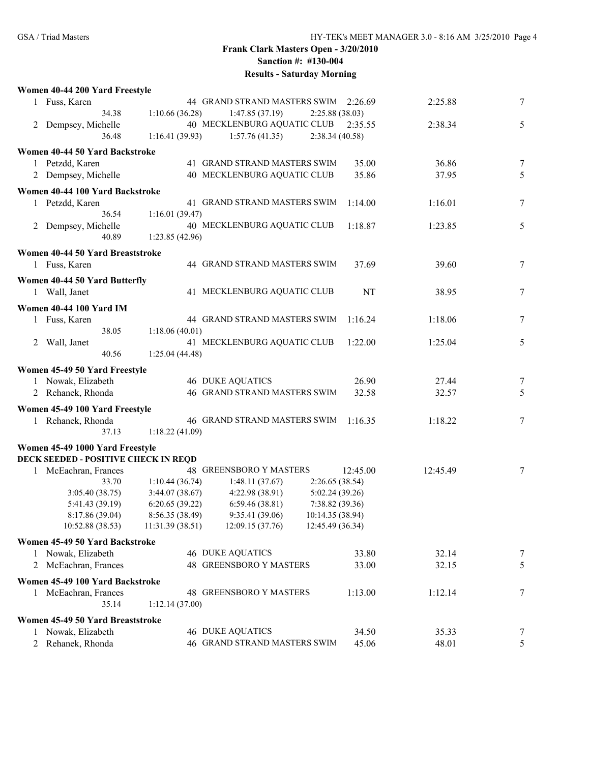|   | Women 40-44 200 Yard Freestyle       |                  |                                |                  |          |        |
|---|--------------------------------------|------------------|--------------------------------|------------------|----------|--------|
|   | 1 Fuss, Karen                        |                  | 44 GRAND STRAND MASTERS SWIM   | 2:26.69          | 2:25.88  | 7      |
|   | 34.38                                | 1:10.66(36.28)   | 1:47.85(37.19)                 | 2:25.88 (38.03)  |          |        |
| 2 | Dempsey, Michelle                    |                  | 40 MECKLENBURG AQUATIC CLUB    | 2:35.55          | 2:38.34  | 5      |
|   | 36.48                                | 1:16.41(39.93)   | 1:57.76(41.35)                 | 2:38.34(40.58)   |          |        |
|   | Women 40-44 50 Yard Backstroke       |                  |                                |                  |          |        |
|   | 1 Petzdd, Karen                      |                  | 41 GRAND STRAND MASTERS SWIM   | 35.00            | 36.86    | 7      |
|   | 2 Dempsey, Michelle                  |                  | 40 MECKLENBURG AQUATIC CLUB    | 35.86            | 37.95    | 5      |
|   |                                      |                  |                                |                  |          |        |
|   | Women 40-44 100 Yard Backstroke      |                  |                                |                  |          |        |
|   | 1 Petzdd, Karen                      |                  | 41 GRAND STRAND MASTERS SWIM   | 1:14.00          | 1:16.01  | $\tau$ |
|   | 36.54                                | 1:16.01(39.47)   | 40 MECKLENBURG AQUATIC CLUB    |                  |          |        |
|   | 2 Dempsey, Michelle<br>40.89         | 1:23.85(42.96)   |                                | 1:18.87          | 1:23.85  | 5      |
|   |                                      |                  |                                |                  |          |        |
|   | Women 40-44 50 Yard Breaststroke     |                  |                                |                  |          |        |
|   | 1 Fuss, Karen                        |                  | 44 GRAND STRAND MASTERS SWIM   | 37.69            | 39.60    | 7      |
|   | Women 40-44 50 Yard Butterfly        |                  |                                |                  |          |        |
|   | 1 Wall, Janet                        |                  | 41 MECKLENBURG AQUATIC CLUB    | NT               | 38.95    | 7      |
|   | <b>Women 40-44 100 Yard IM</b>       |                  |                                |                  |          |        |
|   | 1 Fuss, Karen                        |                  | 44 GRAND STRAND MASTERS SWIM   | 1:16.24          | 1:18.06  | 7      |
|   | 38.05                                | 1:18.06(40.01)   |                                |                  |          |        |
|   | 2 Wall, Janet                        |                  | 41 MECKLENBURG AQUATIC CLUB    | 1:22.00          | 1:25.04  | 5      |
|   | 40.56                                | 1:25.04(44.48)   |                                |                  |          |        |
|   |                                      |                  |                                |                  |          |        |
|   | Women 45-49 50 Yard Freestyle        |                  |                                |                  |          |        |
|   | 1 Nowak, Elizabeth                   |                  | <b>46 DUKE AQUATICS</b>        | 26.90            | 27.44    | 7      |
|   | 2 Rehanek, Rhonda                    |                  | 46 GRAND STRAND MASTERS SWIM   | 32.58            | 32.57    | 5      |
|   | Women 45-49 100 Yard Freestyle       |                  |                                |                  |          |        |
|   | 1 Rehanek, Rhonda                    |                  | 46 GRAND STRAND MASTERS SWIM   | 1:16.35          | 1:18.22  | 7      |
|   | 37.13                                | 1:18.22(41.09)   |                                |                  |          |        |
|   | Women 45-49 1000 Yard Freestyle      |                  |                                |                  |          |        |
|   | DECK SEEDED - POSITIVE CHECK IN REQD |                  |                                |                  |          |        |
|   | 1 McEachran, Frances                 |                  | <b>48 GREENSBORO Y MASTERS</b> | 12:45.00         | 12:45.49 | 7      |
|   | 33.70                                | 1:10.44(36.74)   | 1:48.11(37.67)                 | 2:26.65 (38.54)  |          |        |
|   | 3:05.40(38.75)                       | 3:44.07(38.67)   | 4:22.98 (38.91)                | 5:02.24(39.26)   |          |        |
|   | 5:41.43 (39.19)                      | 6:20.65(39.22)   | 6:59.46(38.81)                 | 7:38.82(39.36)   |          |        |
|   | 8:17.86(39.04)                       | 8:56.35 (38.49)  | 9:35.41 (39.06)                | 10:14.35 (38.94) |          |        |
|   | 10:52.88 (38.53)                     | 11:31.39 (38.51) | 12:09.15(37.76)                | 12:45.49 (36.34) |          |        |
|   | Women 45-49 50 Yard Backstroke       |                  |                                |                  |          |        |
|   | 1 Nowak, Elizabeth                   |                  | <b>46 DUKE AQUATICS</b>        | 33.80            | 32.14    | 7      |
|   | 2 McEachran, Frances                 |                  | 48 GREENSBORO Y MASTERS        | 33.00            | 32.15    | 5      |
|   | Women 45-49 100 Yard Backstroke      |                  |                                |                  |          |        |
|   |                                      |                  | <b>48 GREENSBORO Y MASTERS</b> | 1:13.00          | 1:12.14  | 7      |
|   | 1 McEachran, Frances<br>35.14        | 1:12.14(37.00)   |                                |                  |          |        |
|   |                                      |                  |                                |                  |          |        |
|   | Women 45-49 50 Yard Breaststroke     |                  |                                |                  |          |        |
|   | 1 Nowak, Elizabeth                   |                  | <b>46 DUKE AQUATICS</b>        | 34.50            | 35.33    | 7      |
| 2 | Rehanek, Rhonda                      |                  | 46 GRAND STRAND MASTERS SWIM   | 45.06            | 48.01    | 5      |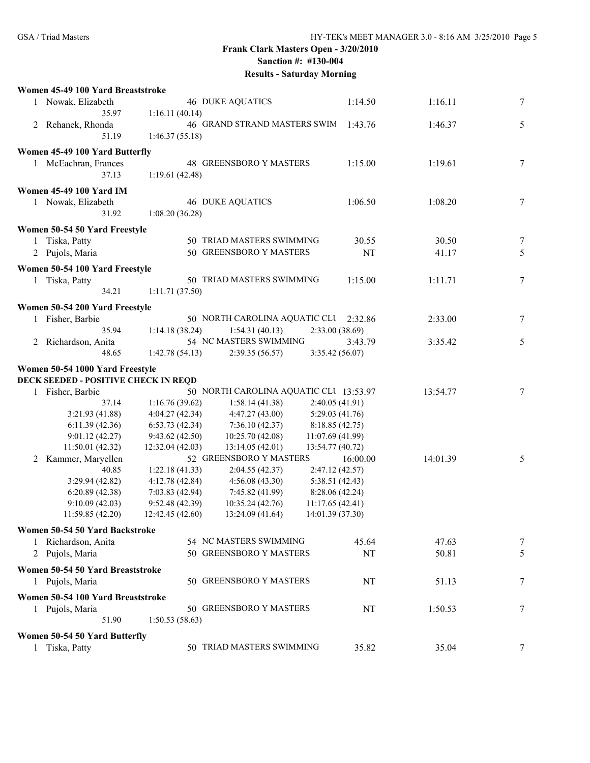|                | Women 45-49 100 Yard Breaststroke                     |                  |                                        |                  |          |          |                  |
|----------------|-------------------------------------------------------|------------------|----------------------------------------|------------------|----------|----------|------------------|
|                | 1 Nowak, Elizabeth                                    |                  | <b>46 DUKE AQUATICS</b>                |                  | 1:14.50  | 1:16.11  | 7                |
|                | 35.97                                                 | 1:16.11(40.14)   |                                        |                  |          |          |                  |
|                | 2 Rehanek, Rhonda                                     |                  | 46 GRAND STRAND MASTERS SWIM           |                  | 1:43.76  | 1:46.37  | 5                |
|                | 51.19                                                 | 1:46.37(55.18)   |                                        |                  |          |          |                  |
|                | Women 45-49 100 Yard Butterfly                        |                  |                                        |                  |          |          |                  |
|                | 1 McEachran, Frances                                  |                  | 48 GREENSBORO Y MASTERS                |                  | 1:15.00  | 1:19.61  | 7                |
|                | 37.13                                                 | 1:19.61(42.48)   |                                        |                  |          |          |                  |
|                | <b>Women 45-49 100 Yard IM</b>                        |                  |                                        |                  |          |          |                  |
|                | 1 Nowak, Elizabeth                                    |                  | <b>46 DUKE AQUATICS</b>                |                  | 1:06.50  | 1:08.20  | $\tau$           |
|                | 31.92                                                 | 1:08.20(36.28)   |                                        |                  |          |          |                  |
|                |                                                       |                  |                                        |                  |          |          |                  |
|                | Women 50-54 50 Yard Freestyle                         |                  |                                        |                  |          |          |                  |
|                | 1 Tiska, Patty                                        |                  | 50 TRIAD MASTERS SWIMMING              |                  | 30.55    | 30.50    | 7                |
|                | 2 Pujols, Maria                                       |                  | 50 GREENSBORO Y MASTERS                |                  | NT       | 41.17    | 5                |
|                | Women 50-54 100 Yard Freestyle                        |                  |                                        |                  |          |          |                  |
| 1              | Tiska, Patty                                          |                  | 50 TRIAD MASTERS SWIMMING              |                  | 1:15.00  | 1:11.71  | $\tau$           |
|                | 34.21                                                 | 1:11.71 (37.50)  |                                        |                  |          |          |                  |
|                | Women 50-54 200 Yard Freestyle                        |                  |                                        |                  |          |          |                  |
| 1              | Fisher, Barbie                                        |                  | 50 NORTH CAROLINA AQUATIC CLU          |                  | 2:32.86  | 2:33.00  | 7                |
|                | 35.94                                                 | 1:14.18(38.24)   | 1:54.31(40.13)                         | 2:33.00(38.69)   |          |          |                  |
| $\overline{2}$ | Richardson, Anita                                     |                  | 54 NC MASTERS SWIMMING                 |                  | 3:43.79  | 3:35.42  | 5                |
|                | 48.65                                                 | 1:42.78(54.13)   | 2:39.35(56.57)                         | 3:35.42(56.07)   |          |          |                  |
|                | Women 50-54 1000 Yard Freestyle                       |                  |                                        |                  |          |          |                  |
|                | DECK SEEDED - POSITIVE CHECK IN REQD                  |                  |                                        |                  |          |          |                  |
|                | 1 Fisher, Barbie                                      |                  | 50 NORTH CAROLINA AQUATIC CLU 13:53.97 |                  |          | 13:54.77 | 7                |
|                | 37.14                                                 | 1:16.76(39.62)   | 1:58.14(41.38)                         | 2:40.05 (41.91)  |          |          |                  |
|                | 3:21.93 (41.88)                                       | 4:04.27(42.34)   | 4:47.27(43.00)                         | 5:29.03 (41.76)  |          |          |                  |
|                | 6:11.39(42.36)                                        | 6:53.73(42.34)   | 7:36.10(42.37)                         | 8:18.85(42.75)   |          |          |                  |
|                | 9:01.12(42.27)                                        | 9:43.62(42.50)   | 10:25.70(42.08)                        | 11:07.69 (41.99) |          |          |                  |
|                | 11:50.01 (42.32)                                      | 12:32.04(42.03)  | 13:14.05(42.01)                        | 13:54.77 (40.72) |          |          |                  |
| 2              | Kammer, Maryellen                                     |                  | 52 GREENSBORO Y MASTERS                |                  | 16:00.00 | 14:01.39 | 5                |
|                | 40.85                                                 | 1:22.18(41.33)   | 2:04.55(42.37)                         | 2:47.12(42.57)   |          |          |                  |
|                | 3:29.94(42.82)                                        | 4:12.78(42.84)   | 4:56.08(43.30)                         | 5:38.51(42.43)   |          |          |                  |
|                | 6:20.89(42.38)                                        | 7:03.83(42.94)   | 7:45.82 (41.99)                        | 8:28.06(42.24)   |          |          |                  |
|                | 9:10.09(42.03)                                        | 9:52.48(42.39)   | 10:35.24(42.76)                        | 11:17.65 (42.41) |          |          |                  |
|                | 11:59.85 (42.20)                                      | 12:42.45 (42.60) | 13:24.09 (41.64)                       | 14:01.39 (37.30) |          |          |                  |
|                |                                                       |                  |                                        |                  |          |          |                  |
|                | Women 50-54 50 Yard Backstroke<br>1 Richardson, Anita |                  | 54 NC MASTERS SWIMMING                 |                  | 45.64    | 47.63    | $\boldsymbol{7}$ |
|                |                                                       |                  | 50 GREENSBORO Y MASTERS                |                  |          | 50.81    |                  |
|                | 2 Pujols, Maria                                       |                  |                                        |                  | NT       |          | 5                |
|                | Women 50-54 50 Yard Breaststroke                      |                  |                                        |                  |          |          |                  |
|                | 1 Pujols, Maria                                       |                  | 50 GREENSBORO Y MASTERS                |                  | NT       | 51.13    | 7                |
|                | Women 50-54 100 Yard Breaststroke                     |                  |                                        |                  |          |          |                  |
|                | 1 Pujols, Maria                                       |                  | 50 GREENSBORO Y MASTERS                |                  | NT       | 1:50.53  | 7                |
|                | 51.90                                                 | 1:50.53(58.63)   |                                        |                  |          |          |                  |
|                | Women 50-54 50 Yard Butterfly                         |                  |                                        |                  |          |          |                  |
|                | Tiska, Patty                                          |                  | 50 TRIAD MASTERS SWIMMING              |                  | 35.82    | 35.04    | 7                |
|                |                                                       |                  |                                        |                  |          |          |                  |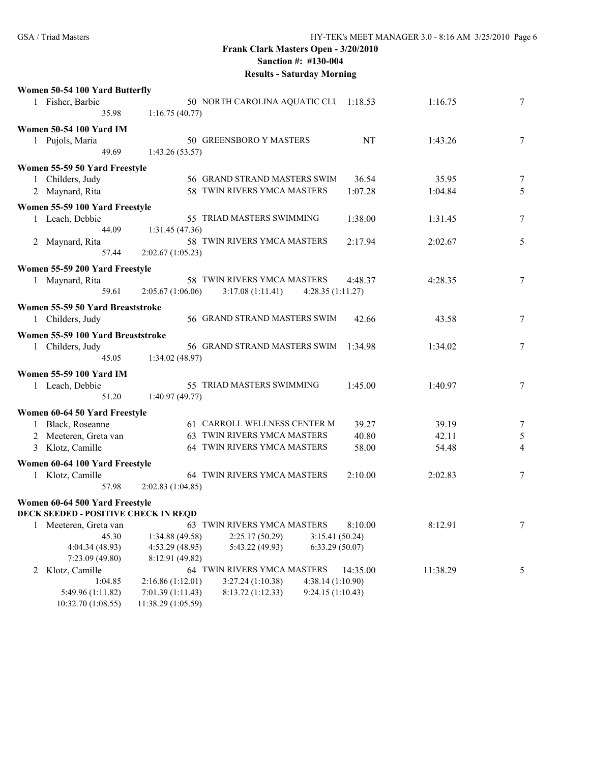|   | Women 50-54 100 Yard Butterfly              |                    |                                       |                   |          |          |                  |
|---|---------------------------------------------|--------------------|---------------------------------------|-------------------|----------|----------|------------------|
|   | 1 Fisher, Barbie                            |                    | 50 NORTH CAROLINA AQUATIC CLU 1:18.53 |                   |          | 1:16.75  | $\boldsymbol{7}$ |
|   | 35.98                                       | 1:16.75(40.77)     |                                       |                   |          |          |                  |
|   | <b>Women 50-54 100 Yard IM</b>              |                    |                                       |                   |          |          |                  |
|   | 1 Pujols, Maria                             |                    | 50 GREENSBORO Y MASTERS               |                   | NT       | 1:43.26  | $\overline{7}$   |
|   | 49.69                                       | 1:43.26(53.57)     |                                       |                   |          |          |                  |
|   |                                             |                    |                                       |                   |          |          |                  |
|   | Women 55-59 50 Yard Freestyle               |                    | 56 GRAND STRAND MASTERS SWIM          |                   | 36.54    | 35.95    | $\overline{7}$   |
|   | 1 Childers, Judy                            |                    |                                       |                   |          |          |                  |
|   | 2 Maynard, Rita                             |                    | 58 TWIN RIVERS YMCA MASTERS           |                   | 1:07.28  | 1:04.84  | 5                |
|   | Women 55-59 100 Yard Freestyle              |                    |                                       |                   |          |          |                  |
|   | 1 Leach, Debbie                             |                    | 55 TRIAD MASTERS SWIMMING             |                   | 1:38.00  | 1:31.45  | $\sqrt{ }$       |
|   | 44.09                                       | 1:31.45(47.36)     |                                       |                   |          |          |                  |
|   | 2 Maynard, Rita                             |                    | 58 TWIN RIVERS YMCA MASTERS           |                   | 2:17.94  | 2:02.67  | 5                |
|   | 57.44                                       | 2:02.67(1:05.23)   |                                       |                   |          |          |                  |
|   | Women 55-59 200 Yard Freestyle              |                    |                                       |                   |          |          |                  |
|   | 1 Maynard, Rita                             |                    | 58 TWIN RIVERS YMCA MASTERS           |                   | 4:48.37  | 4:28.35  | $\overline{7}$   |
|   | 59.61                                       | 2:05.67(1:06.06)   | 3:17.08(1:11.41)                      | 4:28.35(1:11.27)  |          |          |                  |
|   |                                             |                    |                                       |                   |          |          |                  |
|   | Women 55-59 50 Yard Breaststroke            |                    |                                       |                   |          |          |                  |
|   | 1 Childers, Judy                            |                    | 56 GRAND STRAND MASTERS SWIM          |                   | 42.66    | 43.58    | 7                |
|   | Women 55-59 100 Yard Breaststroke           |                    |                                       |                   |          |          |                  |
|   | 1 Childers, Judy                            |                    | 56 GRAND STRAND MASTERS SWIM          |                   | 1:34.98  | 1:34.02  | $\sqrt{ }$       |
|   | 45.05                                       | 1:34.02(48.97)     |                                       |                   |          |          |                  |
|   | <b>Women 55-59 100 Yard IM</b>              |                    |                                       |                   |          |          |                  |
|   | 1 Leach, Debbie                             |                    | 55 TRIAD MASTERS SWIMMING             |                   | 1:45.00  | 1:40.97  | 7                |
|   | 51.20                                       | 1:40.97(49.77)     |                                       |                   |          |          |                  |
|   |                                             |                    |                                       |                   |          |          |                  |
|   | Women 60-64 50 Yard Freestyle               |                    |                                       |                   |          |          |                  |
|   | 1 Black, Roseanne                           |                    | 61 CARROLL WELLNESS CENTER M          |                   | 39.27    | 39.19    | $\overline{7}$   |
|   | 2 Meeteren, Greta van                       |                    | 63 TWIN RIVERS YMCA MASTERS           |                   | 40.80    | 42.11    | 5                |
|   | 3 Klotz, Camille                            |                    | 64 TWIN RIVERS YMCA MASTERS           |                   | 58.00    | 54.48    | $\overline{4}$   |
|   | Women 60-64 100 Yard Freestyle              |                    |                                       |                   |          |          |                  |
|   | 1 Klotz, Camille                            |                    | 64 TWIN RIVERS YMCA MASTERS           |                   | 2:10.00  | 2:02.83  | $\overline{7}$   |
|   | 57.98                                       | 2:02.83(1:04.85)   |                                       |                   |          |          |                  |
|   |                                             |                    |                                       |                   |          |          |                  |
|   | Women 60-64 500 Yard Freestyle              |                    |                                       |                   |          |          |                  |
|   | <b>DECK SEEDED - POSITIVE CHECK IN REQD</b> |                    | 63 TWIN RIVERS YMCA MASTERS           |                   | 8:10.00  |          |                  |
|   | 1 Meeteren, Greta van                       |                    |                                       |                   |          | 8:12.91  | $\boldsymbol{7}$ |
|   | 45.30<br>4:04.34 (48.93)                    | 1:34.88(49.58)     | 2:25.17 (50.29)                       | 3:15.41(50.24)    |          |          |                  |
|   |                                             | 4:53.29 (48.95)    | 5:43.22 (49.93)                       | 6:33.29(50.07)    |          |          |                  |
|   | 7:23.09 (49.80)                             | 8:12.91 (49.82)    | 64 TWIN RIVERS YMCA MASTERS           |                   |          |          |                  |
| 2 | Klotz, Camille<br>1:04.85                   | 2:16.86(1:12.01)   | 3:27.24(1:10.38)                      | 4:38.14 (1:10.90) | 14:35.00 | 11:38.29 | 5                |
|   |                                             | 7:01.39 (1:11.43)  | 8:13.72 (1:12.33)                     | 9:24.15(1:10.43)  |          |          |                  |
|   | 5:49.96 (1:11.82)<br>10:32.70 (1:08.55)     | 11:38.29 (1:05.59) |                                       |                   |          |          |                  |
|   |                                             |                    |                                       |                   |          |          |                  |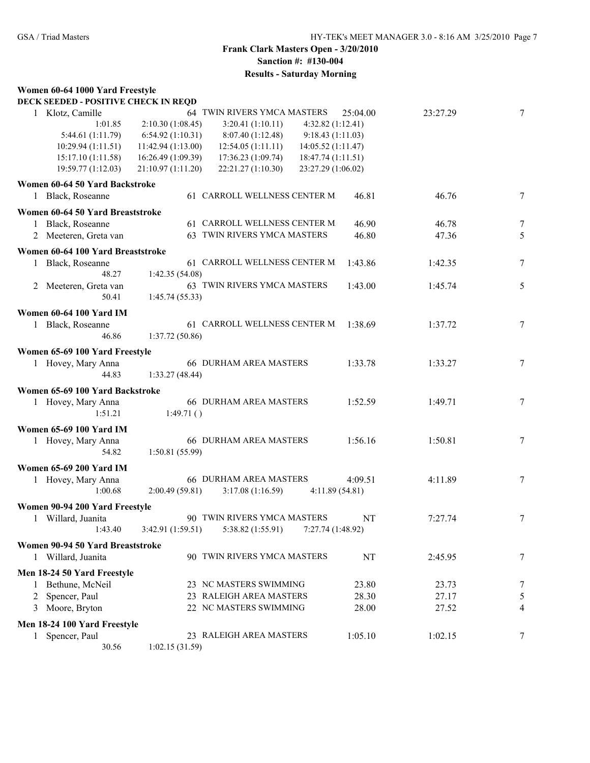#### **Women 60-64 1000 Yard Freestyle DECK SEEDED - POSITIVE CHECK IN REQD**

| DECK SEEDED - POSITIVE CHECK IN REQD |                    |                                          |          |          |                 |
|--------------------------------------|--------------------|------------------------------------------|----------|----------|-----------------|
| Klotz, Camille<br>$\mathbf{1}$       |                    | 64 TWIN RIVERS YMCA MASTERS              | 25:04.00 | 23:27.29 | $7\overline{ }$ |
| 1:01.85                              | 2:10.30(1:08.45)   | 3:20.41(1:10.11)<br>4:32.82(1:12.41)     |          |          |                 |
| 5:44.61 (1:11.79)                    | 6:54.92(1:10.31)   | 9:18.43(1:11.03)<br>8:07.40(1:12.48)     |          |          |                 |
| 10:29.94(1:11.51)                    | 11:42.94(1:13.00)  | 12:54.05(1:11.11)<br>14:05.52 (1:11.47)  |          |          |                 |
| 15:17.10 (1:11.58)                   | 16:26.49 (1:09.39) | 18:47.74 (1:11.51)<br>17:36.23(1:09.74)  |          |          |                 |
| 19:59.77 (1:12.03)                   | 21:10.97 (1:11.20) | 22:21.27 (1:10.30)<br>23:27.29 (1:06.02) |          |          |                 |
| Women 60-64 50 Yard Backstroke       |                    |                                          |          |          |                 |
| 1 Black, Roseanne                    |                    | 61 CARROLL WELLNESS CENTER M             | 46.81    | 46.76    | $\tau$          |
|                                      |                    |                                          |          |          |                 |
| Women 60-64 50 Yard Breaststroke     |                    |                                          |          |          |                 |
| 1 Black, Roseanne                    |                    | 61 CARROLL WELLNESS CENTER M             | 46.90    | 46.78    | 7               |
| 2 Meeteren, Greta van                |                    | 63 TWIN RIVERS YMCA MASTERS              | 46.80    | 47.36    | 5               |
| Women 60-64 100 Yard Breaststroke    |                    |                                          |          |          |                 |
| Black, Roseanne<br>$\mathbf{1}$      |                    | 61 CARROLL WELLNESS CENTER M             | 1:43.86  | 1:42.35  | $\tau$          |
| 48.27                                | 1:42.35(54.08)     |                                          |          |          |                 |
| 2 Meeteren, Greta van                |                    | 63 TWIN RIVERS YMCA MASTERS              | 1:43.00  | 1:45.74  | 5               |
| 50.41                                | 1:45.74(55.33)     |                                          |          |          |                 |
|                                      |                    |                                          |          |          |                 |
| <b>Women 60-64 100 Yard IM</b>       |                    |                                          |          |          |                 |
| 1 Black, Roseanne                    |                    | 61 CARROLL WELLNESS CENTER M             | 1:38.69  | 1:37.72  | 7               |
| 46.86                                | 1:37.72 (50.86)    |                                          |          |          |                 |
| Women 65-69 100 Yard Freestyle       |                    |                                          |          |          |                 |
| 1 Hovey, Mary Anna                   |                    | <b>66 DURHAM AREA MASTERS</b>            | 1:33.78  | 1:33.27  | $\tau$          |
| 44.83                                | 1:33.27(48.44)     |                                          |          |          |                 |
| Women 65-69 100 Yard Backstroke      |                    |                                          |          |          |                 |
| 1 Hovey, Mary Anna                   |                    | <b>66 DURHAM AREA MASTERS</b>            | 1:52.59  | 1:49.71  | 7               |
| 1:51.21                              | 1:49.71()          |                                          |          |          |                 |
|                                      |                    |                                          |          |          |                 |
| <b>Women 65-69 100 Yard IM</b>       |                    |                                          |          |          |                 |
| 1 Hovey, Mary Anna                   |                    | <b>66 DURHAM AREA MASTERS</b>            | 1:56.16  | 1:50.81  | 7               |
| 54.82                                | 1:50.81 (55.99)    |                                          |          |          |                 |
| <b>Women 65-69 200 Yard IM</b>       |                    |                                          |          |          |                 |
| 1 Hovey, Mary Anna                   |                    | <b>66 DURHAM AREA MASTERS</b>            | 4:09.51  | 4:11.89  | $\tau$          |
| 1:00.68                              | 2:00.49(59.81)     | 3:17.08(1:16.59)<br>4:11.89(54.81)       |          |          |                 |
| Women 90-94 200 Yard Freestyle       |                    |                                          |          |          |                 |
| 1 Willard, Juanita                   |                    | 90 TWIN RIVERS YMCA MASTERS              | NT       | 7:27.74  | 7               |
| 1:43.40                              | 3:42.91(1:59.51)   | 5:38.82(1:55.91)<br>7:27.74 (1:48.92)    |          |          |                 |
|                                      |                    |                                          |          |          |                 |
| Women 90-94 50 Yard Breaststroke     |                    |                                          |          |          |                 |
| 1 Willard, Juanita                   |                    | 90 TWIN RIVERS YMCA MASTERS              | NT       | 2:45.95  | 7               |
| Men 18-24 50 Yard Freestyle          |                    |                                          |          |          |                 |
| Bethune, McNeil<br>1                 |                    | 23 NC MASTERS SWIMMING                   | 23.80    | 23.73    | 7               |
| Spencer, Paul<br>2                   |                    | 23 RALEIGH AREA MASTERS                  | 28.30    | 27.17    | 5               |
| 3 Moore, Bryton                      |                    | 22 NC MASTERS SWIMMING                   | 28.00    | 27.52    | 4               |
|                                      |                    |                                          |          |          |                 |
| Men 18-24 100 Yard Freestyle         |                    |                                          |          |          |                 |
| Spencer, Paul<br>$\mathbf{1}$        |                    | 23 RALEIGH AREA MASTERS                  | 1:05.10  | 1:02.15  | 7               |
| 30.56                                | 1:02.15(31.59)     |                                          |          |          |                 |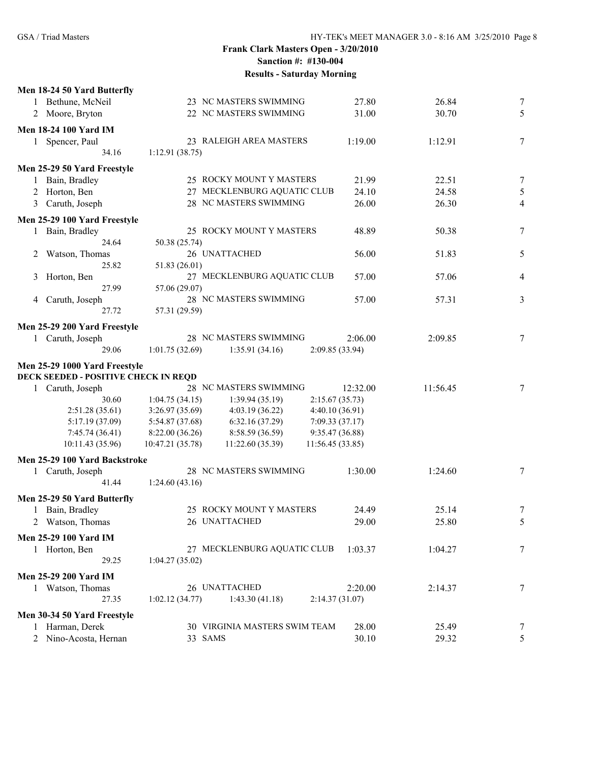| Men 18-24 50 Yard Butterfly          |                                                        |          |          |                |
|--------------------------------------|--------------------------------------------------------|----------|----------|----------------|
| 1 Bethune, McNeil                    | 23 NC MASTERS SWIMMING                                 | 27.80    | 26.84    | 7              |
| 2 Moore, Bryton                      | 22 NC MASTERS SWIMMING                                 | 31.00    | 30.70    | 5              |
| <b>Men 18-24 100 Yard IM</b>         |                                                        |          |          |                |
| Spencer, Paul<br>$\mathbf{1}$        | 23 RALEIGH AREA MASTERS                                | 1:19.00  | 1:12.91  | 7              |
| 34.16                                | 1:12.91(38.75)                                         |          |          |                |
| Men 25-29 50 Yard Freestyle          |                                                        |          |          |                |
| 1 Bain, Bradley                      | 25 ROCKY MOUNT Y MASTERS                               | 21.99    | 22.51    | 7              |
| 2 Horton, Ben                        | 27 MECKLENBURG AQUATIC CLUB                            | 24.10    | 24.58    | $\mathfrak{S}$ |
| 3 Caruth, Joseph                     | 28 NC MASTERS SWIMMING                                 | 26.00    | 26.30    | 4              |
|                                      |                                                        |          |          |                |
| Men 25-29 100 Yard Freestyle         |                                                        |          |          |                |
| 1 Bain, Bradley                      | 25 ROCKY MOUNT Y MASTERS                               | 48.89    | 50.38    | 7              |
| 24.64                                | 50.38 (25.74)                                          |          |          |                |
| Watson, Thomas<br>2                  | 26 UNATTACHED                                          | 56.00    | 51.83    | 5              |
| 25.82                                | 51.83 (26.01)                                          |          |          |                |
| Horton, Ben<br>3<br>27.99            | 27 MECKLENBURG AQUATIC CLUB                            | 57.00    | 57.06    | 4              |
|                                      | 57.06 (29.07)<br>28 NC MASTERS SWIMMING                |          |          |                |
| Caruth, Joseph<br>4<br>27.72         | 57.31 (29.59)                                          | 57.00    | 57.31    | 3              |
|                                      |                                                        |          |          |                |
| Men 25-29 200 Yard Freestyle         |                                                        |          |          |                |
| 1 Caruth, Joseph                     | 28 NC MASTERS SWIMMING                                 | 2:06.00  | 2:09.85  | 7              |
| 29.06                                | 1:01.75(32.69)<br>1:35.91(34.16)<br>2:09.85 (33.94)    |          |          |                |
| Men 25-29 1000 Yard Freestyle        |                                                        |          |          |                |
| DECK SEEDED - POSITIVE CHECK IN REQD |                                                        |          |          |                |
| 1 Caruth, Joseph                     | 28 NC MASTERS SWIMMING                                 | 12:32.00 | 11:56.45 | 7              |
| 30.60                                | 1:04.75(34.15)<br>1:39.94(35.19)<br>2:15.67(35.73)     |          |          |                |
| 2:51.28(35.61)                       | 3:26.97(35.69)<br>4:03.19(36.22)<br>4:40.10 (36.91)    |          |          |                |
| 5:17.19(37.09)                       | 5:54.87 (37.68)<br>6:32.16(37.29)<br>7:09.33(37.17)    |          |          |                |
| 7:45.74(36.41)                       | 8:22.00(36.26)<br>8:58.59 (36.59)<br>9:35.47 (36.88)   |          |          |                |
| 10:11.43(35.96)                      | 10:47.21 (35.78)<br>11:22.60(35.39)<br>11:56.45(33.85) |          |          |                |
| Men 25-29 100 Yard Backstroke        |                                                        |          |          |                |
| 1 Caruth, Joseph                     | 28 NC MASTERS SWIMMING                                 | 1:30.00  | 1:24.60  | 7              |
| 41.44                                | 1:24.60(43.16)                                         |          |          |                |
| Men 25-29 50 Yard Butterfly          |                                                        |          |          |                |
| 1 Bain, Bradley                      | 25 ROCKY MOUNT Y MASTERS                               | 24.49    | 25.14    | 7              |
| 2 Watson, Thomas                     | 26 UNATTACHED                                          | 29.00    | 25.80    | 5              |
|                                      |                                                        |          |          |                |
| Men 25-29 100 Yard IM                |                                                        |          |          |                |
| 1 Horton, Ben                        | 27 MECKLENBURG AQUATIC CLUB                            | 1:03.37  | 1:04.27  | 7              |
| 29.25                                | 1:04.27(35.02)                                         |          |          |                |
| <b>Men 25-29 200 Yard IM</b>         |                                                        |          |          |                |
| 1 Watson, Thomas                     | 26 UNATTACHED                                          | 2:20.00  | 2:14.37  | 7              |
| 27.35                                | 1:02.12(34.77)<br>1:43.30(41.18)<br>2:14.37(31.07)     |          |          |                |
| Men 30-34 50 Yard Freestyle          |                                                        |          |          |                |
| 1 Harman, Derek                      | 30 VIRGINIA MASTERS SWIM TEAM                          | 28.00    | 25.49    | 7              |
| 2 Nino-Acosta, Hernan                | 33 SAMS                                                | 30.10    | 29.32    | 5              |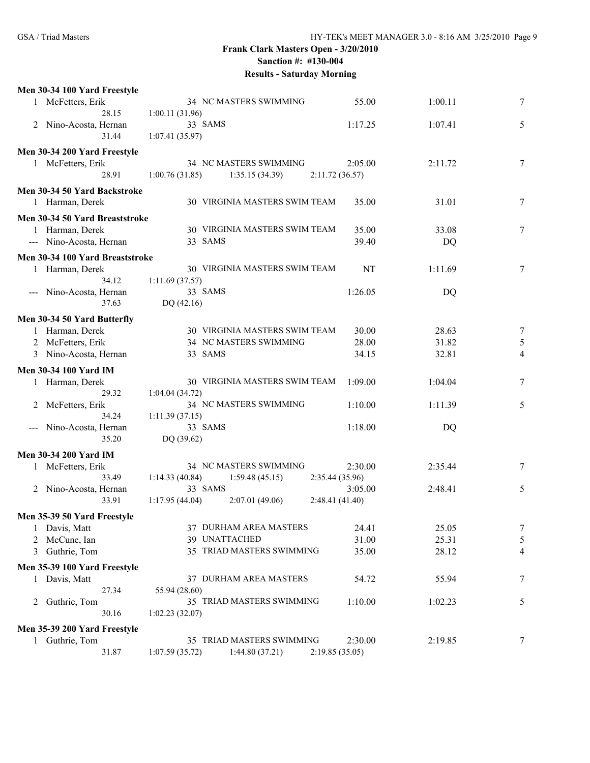| Men 30-34 100 Yard Freestyle    |                                  |                |         |                |
|---------------------------------|----------------------------------|----------------|---------|----------------|
| 1 McFetters, Erik               | 34 NC MASTERS SWIMMING           | 55.00          | 1:00.11 | 7              |
| 28.15                           | 1:00.11(31.96)                   |                |         |                |
| Nino-Acosta, Hernan<br>2        | 33 SAMS                          | 1:17.25        | 1:07.41 | 5              |
| 31.44                           | 1:07.41(35.97)                   |                |         |                |
|                                 |                                  |                |         |                |
| Men 30-34 200 Yard Freestyle    |                                  |                |         |                |
| 1 McFetters, Erik               | 34 NC MASTERS SWIMMING           | 2:05.00        | 2:11.72 | 7              |
| 28.91                           | 1:00.76(31.85)<br>1:35.15(34.39) | 2:11.72(36.57) |         |                |
| Men 30-34 50 Yard Backstroke    |                                  |                |         |                |
| 1 Harman, Derek                 | 30 VIRGINIA MASTERS SWIM TEAM    | 35.00          | 31.01   | 7              |
| Men 30-34 50 Yard Breaststroke  |                                  |                |         |                |
| 1 Harman, Derek                 | 30 VIRGINIA MASTERS SWIM TEAM    | 35.00          | 33.08   | 7              |
|                                 | 33 SAMS                          | 39.40          |         |                |
| --- Nino-Acosta, Hernan         |                                  |                | DQ      |                |
| Men 30-34 100 Yard Breaststroke |                                  |                |         |                |
| 1 Harman, Derek                 | 30 VIRGINIA MASTERS SWIM TEAM    | NT             | 1:11.69 | 7              |
| 34.12                           | 1:11.69(37.57)                   |                |         |                |
| Nino-Acosta, Hernan             | 33 SAMS                          | 1:26.05        | DQ      |                |
| 37.63                           | DQ (42.16)                       |                |         |                |
| Men 30-34 50 Yard Butterfly     |                                  |                |         |                |
| 1 Harman, Derek                 | 30 VIRGINIA MASTERS SWIM TEAM    | 30.00          | 28.63   |                |
|                                 | 34 NC MASTERS SWIMMING           | 28.00          |         | 7              |
| 2 McFetters, Erik               |                                  |                | 31.82   | $\mathfrak s$  |
| 3 Nino-Acosta, Hernan           | 33 SAMS                          | 34.15          | 32.81   | $\overline{4}$ |
| <b>Men 30-34 100 Yard IM</b>    |                                  |                |         |                |
| 1 Harman, Derek                 | 30 VIRGINIA MASTERS SWIM TEAM    | 1:09.00        | 1:04.04 | 7              |
| 29.32                           | 1:04.04(34.72)                   |                |         |                |
| McFetters, Erik                 | 34 NC MASTERS SWIMMING           | 1:10.00        | 1:11.39 | 5              |
| 34.24                           | 1:11.39(37.15)                   |                |         |                |
| Nino-Acosta, Hernan             | 33 SAMS                          | 1:18.00        | DQ      |                |
| 35.20                           | DQ (39.62)                       |                |         |                |
| <b>Men 30-34 200 Yard IM</b>    |                                  |                |         |                |
|                                 | 34 NC MASTERS SWIMMING           | 2:30.00        |         |                |
| 1 McFetters, Erik               |                                  |                | 2:35.44 | 7              |
| 33.49                           | 1:59.48(45.15)<br>1:14.33(40.84) | 2:35.44(35.96) |         |                |
| 2 Nino-Acosta, Hernan           | 33 SAMS                          | 3:05.00        | 2:48.41 | 5              |
| 33.91                           | 2:07.01(49.06)<br>1:17.95(44.04) | 2:48.41(41.40) |         |                |
| Men 35-39 50 Yard Freestyle     |                                  |                |         |                |
| 1 Davis, Matt                   | 37 DURHAM AREA MASTERS           | 24.41          | 25.05   | 7              |
| McCune, Ian                     | 39 UNATTACHED                    | 31.00          | 25.31   | 5              |
| Guthrie, Tom<br>3               | 35 TRIAD MASTERS SWIMMING        | 35.00          | 28.12   | 4              |
|                                 |                                  |                |         |                |
| Men 35-39 100 Yard Freestyle    |                                  |                |         |                |
| Davis, Matt<br>1                | 37 DURHAM AREA MASTERS           | 54.72          | 55.94   | 7              |
| 27.34                           | 55.94 (28.60)                    |                |         |                |
| Guthrie, Tom<br>2               | 35 TRIAD MASTERS SWIMMING        | 1:10.00        | 1:02.23 | 5              |
| 30.16                           | 1:02.23(32.07)                   |                |         |                |
| Men 35-39 200 Yard Freestyle    |                                  |                |         |                |
| 1 Guthrie, Tom                  | 35 TRIAD MASTERS SWIMMING        | 2:30.00        | 2:19.85 | 7              |
| 31.87                           | 1:07.59(35.72)<br>1:44.80(37.21) | 2:19.85(35.05) |         |                |
|                                 |                                  |                |         |                |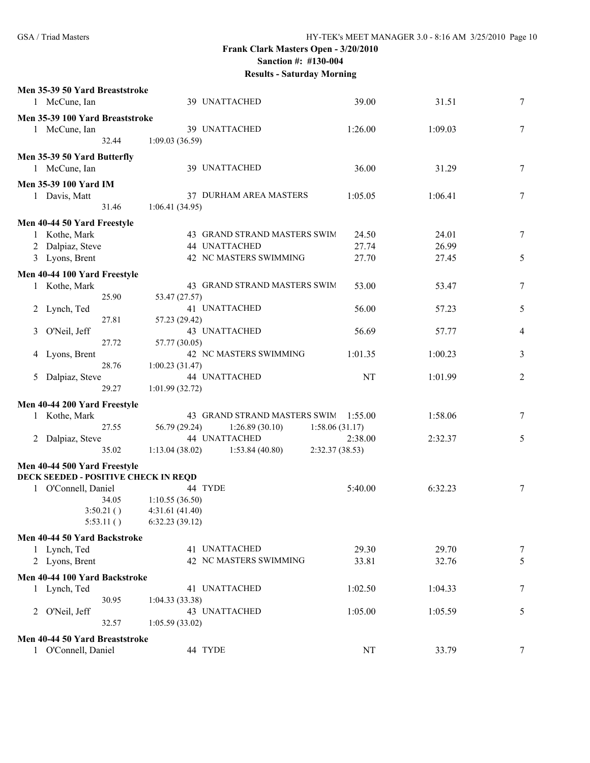|              | Men 35-39 50 Yard Breaststroke             |                |                              |                 |         |                |
|--------------|--------------------------------------------|----------------|------------------------------|-----------------|---------|----------------|
|              | 1 McCune, Ian                              |                | 39 UNATTACHED                | 39.00           | 31.51   | 7              |
|              | Men 35-39 100 Yard Breaststroke            |                |                              |                 |         |                |
|              | 1 McCune, Ian                              |                | 39 UNATTACHED                | 1:26.00         | 1:09.03 | 7              |
|              | 32.44                                      | 1:09.03(36.59) |                              |                 |         |                |
|              | Men 35-39 50 Yard Butterfly                |                |                              |                 |         |                |
|              | 1 McCune, Ian                              |                | 39 UNATTACHED                | 36.00           | 31.29   | 7              |
|              | Men 35-39 100 Yard IM                      |                |                              |                 |         |                |
|              | 1 Davis, Matt                              |                | 37 DURHAM AREA MASTERS       | 1:05.05         | 1:06.41 | 7              |
|              | 31.46                                      | 1:06.41(34.95) |                              |                 |         |                |
|              |                                            |                |                              |                 |         |                |
| $\mathbf{1}$ | Men 40-44 50 Yard Freestyle<br>Kothe, Mark |                | 43 GRAND STRAND MASTERS SWIM | 24.50           | 24.01   | 7              |
| 2            | Dalpiaz, Steve                             |                | 44 UNATTACHED                | 27.74           | 26.99   |                |
|              | 3 Lyons, Brent                             |                | 42 NC MASTERS SWIMMING       | 27.70           | 27.45   | 5              |
|              |                                            |                |                              |                 |         |                |
|              | Men 40-44 100 Yard Freestyle               |                |                              |                 |         |                |
|              | 1 Kothe, Mark                              |                | 43 GRAND STRAND MASTERS SWIM | 53.00           | 53.47   | 7              |
|              | 25.90                                      | 53.47 (27.57)  | 41 UNATTACHED                | 56.00           | 57.23   |                |
|              | 2 Lynch, Ted<br>27.81                      | 57.23 (29.42)  |                              |                 |         | 5              |
| 3            | O'Neil, Jeff                               |                | 43 UNATTACHED                | 56.69           | 57.77   | 4              |
|              | 27.72                                      | 57.77 (30.05)  |                              |                 |         |                |
|              | 4 Lyons, Brent                             |                | 42 NC MASTERS SWIMMING       | 1:01.35         | 1:00.23 | 3              |
|              | 28.76                                      | 1:00.23(31.47) |                              |                 |         |                |
| 5            | Dalpiaz, Steve                             |                | 44 UNATTACHED                | NT              | 1:01.99 | $\overline{2}$ |
|              | 29.27                                      | 1:01.99(32.72) |                              |                 |         |                |
|              | Men 40-44 200 Yard Freestyle               |                |                              |                 |         |                |
|              | 1 Kothe, Mark                              |                | 43 GRAND STRAND MASTERS SWIM | 1:55.00         | 1:58.06 | 7              |
|              | 27.55                                      | 56.79 (29.24)  | 1:26.89(30.10)               | 1:58.06(31.17)  |         |                |
|              | 2 Dalpiaz, Steve                           |                | 44 UNATTACHED                | 2:38.00         | 2:32.37 | 5              |
|              | 35.02                                      | 1:13.04(38.02) | 1:53.84(40.80)               | 2:32.37 (38.53) |         |                |
|              | Men 40-44 500 Yard Freestyle               |                |                              |                 |         |                |
|              | DECK SEEDED - POSITIVE CHECK IN REQD       |                |                              |                 |         |                |
|              | 1 O'Connell, Daniel                        | 44 TYDE        |                              | 5:40.00         | 6:32.23 | 7              |
|              | 34.05                                      | 1:10.55(36.50) |                              |                 |         |                |
|              | 3:50.21()                                  | 4:31.61(41.40) |                              |                 |         |                |
|              | 5:53.11()                                  | 6:32.23(39.12) |                              |                 |         |                |
|              | Men 40-44 50 Yard Backstroke               |                |                              |                 |         |                |
|              | 1 Lynch, Ted                               |                | 41 UNATTACHED                | 29.30           | 29.70   | 7              |
|              | 2 Lyons, Brent                             |                | 42 NC MASTERS SWIMMING       | 33.81           | 32.76   | 5              |
|              |                                            |                |                              |                 |         |                |
|              | Men 40-44 100 Yard Backstroke              |                |                              |                 |         |                |
|              | 1 Lynch, Ted                               |                | 41 UNATTACHED                | 1:02.50         | 1:04.33 | 7              |
|              | 30.95                                      | 1:04.33(33.38) | 43 UNATTACHED                |                 |         |                |
|              | 2 O'Neil, Jeff<br>32.57                    | 1:05.59(33.02) |                              | 1:05.00         | 1:05.59 | 5              |
|              |                                            |                |                              |                 |         |                |
|              | Men 40-44 50 Yard Breaststroke             |                |                              |                 |         |                |
|              | 1 O'Connell, Daniel                        | 44 TYDE        |                              | NT              | 33.79   | 7              |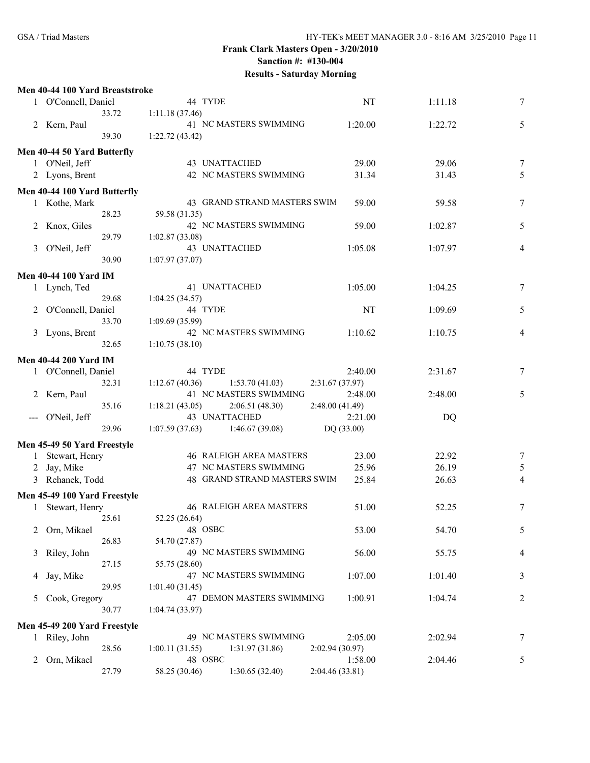|   | Men 40-44 100 Yard Breaststroke |                                          |                 |         |                |
|---|---------------------------------|------------------------------------------|-----------------|---------|----------------|
|   | 1 O'Connell, Daniel             | 44 TYDE                                  | NT              | 1:11.18 | $\tau$         |
|   | 33.72                           | 1:11.18(37.46)                           |                 |         |                |
|   | 2 Kern, Paul                    | 41 NC MASTERS SWIMMING                   | 1:20.00         | 1:22.72 | 5              |
|   | 39.30                           | 1:22.72(43.42)                           |                 |         |                |
|   | Men 40-44 50 Yard Butterfly     |                                          |                 |         |                |
|   | 1 O'Neil, Jeff                  | 43 UNATTACHED                            | 29.00           | 29.06   | 7              |
|   | 2 Lyons, Brent                  | 42 NC MASTERS SWIMMING                   | 31.34           | 31.43   | 5              |
|   |                                 |                                          |                 |         |                |
|   | Men 40-44 100 Yard Butterfly    | 43 GRAND STRAND MASTERS SWIM             | 59.00           |         | $\tau$         |
|   | 1 Kothe, Mark<br>28.23          |                                          |                 | 59.58   |                |
| 2 | Knox, Giles                     | 59.58 (31.35)<br>42 NC MASTERS SWIMMING  | 59.00           | 1:02.87 | $\sqrt{5}$     |
|   | 29.79                           | 1:02.87(33.08)                           |                 |         |                |
| 3 | O'Neil, Jeff                    | 43 UNATTACHED                            | 1:05.08         | 1:07.97 | $\overline{4}$ |
|   | 30.90                           | 1:07.97(37.07)                           |                 |         |                |
|   |                                 |                                          |                 |         |                |
|   | <b>Men 40-44 100 Yard IM</b>    |                                          |                 |         |                |
|   | 1 Lynch, Ted                    | 41 UNATTACHED                            | 1:05.00         | 1:04.25 | 7              |
|   | 29.68                           | 1:04.25 (34.57)                          |                 |         |                |
| 2 | O'Connell, Daniel               | 44 TYDE                                  | NT              | 1:09.69 | 5              |
|   | 33.70                           | 1:09.69(35.99)<br>42 NC MASTERS SWIMMING | 1:10.62         |         |                |
|   | 3 Lyons, Brent<br>32.65         | 1:10.75(38.10)                           |                 | 1:10.75 | 4              |
|   |                                 |                                          |                 |         |                |
|   | <b>Men 40-44 200 Yard IM</b>    |                                          |                 |         |                |
|   | 1 O'Connell, Daniel             | 44 TYDE                                  | 2:40.00         | 2:31.67 | 7              |
|   | 32.31                           | 1:12.67(40.36)<br>1:53.70(41.03)         | 2:31.67 (37.97) |         |                |
|   | Kern, Paul                      | 41 NC MASTERS SWIMMING                   | 2:48.00         | 2:48.00 | 5              |
|   | 35.16                           | 1:18.21(43.05)<br>2:06.51(48.30)         | 2:48.00(41.49)  |         |                |
|   | O'Neil, Jeff                    | 43 UNATTACHED                            | 2:21.00         | DQ      |                |
|   | 29.96                           | 1:07.59(37.63)<br>1:46.67(39.08)         | DQ (33.00)      |         |                |
|   | Men 45-49 50 Yard Freestyle     |                                          |                 |         |                |
| 1 | Stewart, Henry                  | <b>46 RALEIGH AREA MASTERS</b>           | 23.00           | 22.92   | $\tau$         |
| 2 | Jay, Mike                       | 47 NC MASTERS SWIMMING                   | 25.96           | 26.19   | $\sqrt{5}$     |
|   | 3 Rehanek, Todd                 | 48 GRAND STRAND MASTERS SWIM             | 25.84           | 26.63   | 4              |
|   | Men 45-49 100 Yard Freestyle    |                                          |                 |         |                |
|   | 1 Stewart, Henry                | <b>46 RALEIGH AREA MASTERS</b>           | 51.00           | 52.25   | $\tau$         |
|   | 25.61                           | 52.25 (26.64)                            |                 |         |                |
| 2 | Orn, Mikael                     | 48 OSBC                                  | 53.00           | 54.70   | 5              |
|   | 26.83                           | 54.70 (27.87)                            |                 |         |                |
| 3 | Riley, John                     | 49 NC MASTERS SWIMMING                   | 56.00           | 55.75   | 4              |
|   | 27.15                           | 55.75 (28.60)                            |                 |         |                |
| 4 | Jay, Mike                       | 47 NC MASTERS SWIMMING                   | 1:07.00         | 1:01.40 | 3              |
|   | 29.95                           | 1:01.40(31.45)                           |                 |         |                |
| 5 | Cook, Gregory                   | 47 DEMON MASTERS SWIMMING                | 1:00.91         | 1:04.74 | 2              |
|   | 30.77                           | 1:04.74(33.97)                           |                 |         |                |
|   | Men 45-49 200 Yard Freestyle    |                                          |                 |         |                |
|   | 1 Riley, John                   | 49 NC MASTERS SWIMMING                   | 2:05.00         | 2:02.94 | 7              |
|   | 28.56                           | 1:00.11(31.55)<br>1:31.97(31.86)         | 2:02.94(30.97)  |         |                |
| 2 | Orn, Mikael                     | 48 OSBC                                  | 1:58.00         | 2:04.46 | 5              |
|   | 27.79                           | 1:30.65(32.40)<br>58.25 (30.46)          | 2:04.46 (33.81) |         |                |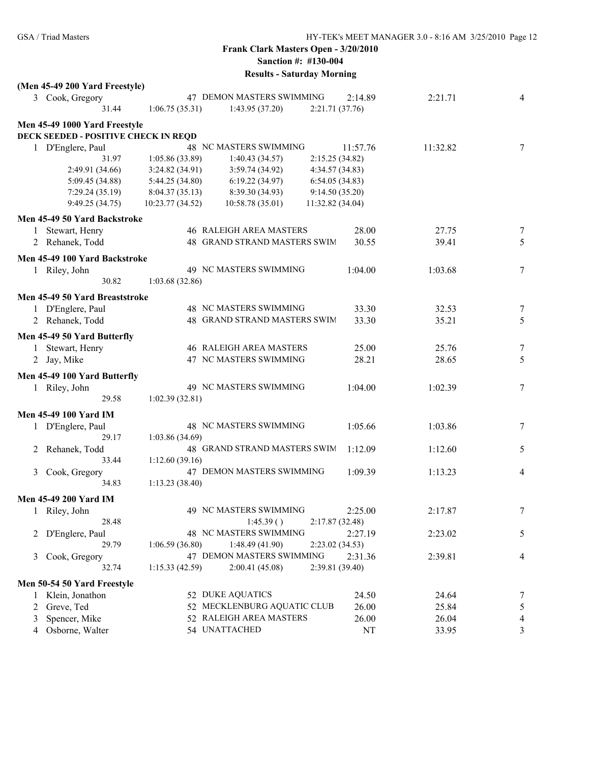| 3 Cook, Gregory<br>47 DEMON MASTERS SWIMMING<br>2:14.89<br>2:21.71<br>31.44<br>1:06.75(35.31)<br>1:43.95(37.20)<br>2:21.71 (37.76)<br>Men 45-49 1000 Yard Freestyle<br>DECK SEEDED - POSITIVE CHECK IN REQD<br>48 NC MASTERS SWIMMING<br>$\overline{7}$<br>1 D'Englere, Paul<br>11:57.76<br>11:32.82<br>2:15.25 (34.82)<br>31.97<br>1:05.86 (33.89)<br>1:40.43(34.57)<br>2:49.91 (34.66)<br>3:24.82(34.91)<br>3:59.74(34.92)<br>4:34.57(34.83)<br>5:09.45 (34.88)<br>5:44.25(34.80)<br>6:19.22(34.97)<br>6:54.05(34.83)<br>7:29.24(35.19)<br>8:04.37(35.13)<br>8:39.30 (34.93)<br>9:14.50(35.20)<br>9:49.25(34.75)<br>10:23.77 (34.52)<br>11:32.82 (34.04)<br>10:58.78(35.01)<br>Men 45-49 50 Yard Backstroke<br><b>46 RALEIGH AREA MASTERS</b><br>$\overline{7}$<br>Stewart, Henry<br>28.00<br>27.75<br>1<br>48 GRAND STRAND MASTERS SWIM<br>5<br>Rehanek, Todd<br>30.55<br>39.41<br>2<br>Men 45-49 100 Yard Backstroke<br>49 NC MASTERS SWIMMING<br>7<br>1 Riley, John<br>1:04.00<br>1:03.68<br>30.82<br>1:03.68(32.86)<br>Men 45-49 50 Yard Breaststroke<br>48 NC MASTERS SWIMMING<br>1 D'Englere, Paul<br>33.30<br>32.53<br>48 GRAND STRAND MASTERS SWIM<br>2 Rehanek, Todd<br>33.30<br>35.21<br>Men 45-49 50 Yard Butterfly<br>46 RALEIGH AREA MASTERS<br>1 Stewart, Henry<br>25.00<br>25.76<br>7<br>47 NC MASTERS SWIMMING<br>28.21<br>28.65<br>5<br>2 Jay, Mike<br>Men 45-49 100 Yard Butterfly<br>49 NC MASTERS SWIMMING<br>7<br>1 Riley, John<br>1:04.00<br>1:02.39<br>29.58<br>1:02.39(32.81)<br><b>Men 45-49 100 Yard IM</b><br>48 NC MASTERS SWIMMING<br>1:05.66<br>1 D'Englere, Paul<br>1:03.86<br>29.17<br>1:03.86(34.69)<br>5<br>48 GRAND STRAND MASTERS SWIM<br>2 Rehanek, Todd<br>1:12.09<br>1:12.60<br>33.44<br>1:12.60(39.16)<br>47 DEMON MASTERS SWIMMING<br>1:09.39<br>Cook, Gregory<br>1:13.23<br>$\overline{4}$<br>3<br>34.83<br>1:13.23(38.40)<br><b>Men 45-49 200 Yard IM</b><br>49 NC MASTERS SWIMMING<br>2:25.00<br>2:17.87<br>1 Riley, John<br>28.48<br>1:45.39()<br>2:17.87(32.48)<br>48 NC MASTERS SWIMMING<br>2:27.19<br>2:23.02<br>D'Englere, Paul<br>29.79<br>1:48.49(41.90)<br>1:06.59(36.80)<br>2:23.02(34.53)<br>47 DEMON MASTERS SWIMMING<br>2:31.36<br>2:39.81<br>Cook, Gregory<br>3<br>32.74<br>2:39.81 (39.40)<br>1:15.33(42.59)<br>2:00.41(45.08)<br>Men 50-54 50 Yard Freestyle<br>52 DUKE AQUATICS<br>Klein, Jonathon<br>24.50<br>24.64<br>7<br>52 MECKLENBURG AQUATIC CLUB<br>Greve, Ted<br>26.00<br>25.84<br>5<br>$\overline{2}$<br>Spencer, Mike<br>52 RALEIGH AREA MASTERS<br>26.00<br>26.04<br>4<br>3<br>54 UNATTACHED<br>Osborne, Walter<br>NT<br>33.95<br>3<br>4 | (Men 45-49 200 Yard Freestyle) |  |  |                |
|--------------------------------------------------------------------------------------------------------------------------------------------------------------------------------------------------------------------------------------------------------------------------------------------------------------------------------------------------------------------------------------------------------------------------------------------------------------------------------------------------------------------------------------------------------------------------------------------------------------------------------------------------------------------------------------------------------------------------------------------------------------------------------------------------------------------------------------------------------------------------------------------------------------------------------------------------------------------------------------------------------------------------------------------------------------------------------------------------------------------------------------------------------------------------------------------------------------------------------------------------------------------------------------------------------------------------------------------------------------------------------------------------------------------------------------------------------------------------------------------------------------------------------------------------------------------------------------------------------------------------------------------------------------------------------------------------------------------------------------------------------------------------------------------------------------------------------------------------------------------------------------------------------------------------------------------------------------------------------------------------------------------------------------------------------------------------------------------------------------------------------------------------------------------------------------------------------------------------------------------------------------------------------------------------------------------------------------------------------------------------------------------------------------------------------------------------------------------------------------------------------------------------------------------------------------------------------------------------------------------|--------------------------------|--|--|----------------|
|                                                                                                                                                                                                                                                                                                                                                                                                                                                                                                                                                                                                                                                                                                                                                                                                                                                                                                                                                                                                                                                                                                                                                                                                                                                                                                                                                                                                                                                                                                                                                                                                                                                                                                                                                                                                                                                                                                                                                                                                                                                                                                                                                                                                                                                                                                                                                                                                                                                                                                                                                                                                                    |                                |  |  | 4              |
|                                                                                                                                                                                                                                                                                                                                                                                                                                                                                                                                                                                                                                                                                                                                                                                                                                                                                                                                                                                                                                                                                                                                                                                                                                                                                                                                                                                                                                                                                                                                                                                                                                                                                                                                                                                                                                                                                                                                                                                                                                                                                                                                                                                                                                                                                                                                                                                                                                                                                                                                                                                                                    |                                |  |  |                |
|                                                                                                                                                                                                                                                                                                                                                                                                                                                                                                                                                                                                                                                                                                                                                                                                                                                                                                                                                                                                                                                                                                                                                                                                                                                                                                                                                                                                                                                                                                                                                                                                                                                                                                                                                                                                                                                                                                                                                                                                                                                                                                                                                                                                                                                                                                                                                                                                                                                                                                                                                                                                                    |                                |  |  |                |
|                                                                                                                                                                                                                                                                                                                                                                                                                                                                                                                                                                                                                                                                                                                                                                                                                                                                                                                                                                                                                                                                                                                                                                                                                                                                                                                                                                                                                                                                                                                                                                                                                                                                                                                                                                                                                                                                                                                                                                                                                                                                                                                                                                                                                                                                                                                                                                                                                                                                                                                                                                                                                    |                                |  |  |                |
|                                                                                                                                                                                                                                                                                                                                                                                                                                                                                                                                                                                                                                                                                                                                                                                                                                                                                                                                                                                                                                                                                                                                                                                                                                                                                                                                                                                                                                                                                                                                                                                                                                                                                                                                                                                                                                                                                                                                                                                                                                                                                                                                                                                                                                                                                                                                                                                                                                                                                                                                                                                                                    |                                |  |  |                |
|                                                                                                                                                                                                                                                                                                                                                                                                                                                                                                                                                                                                                                                                                                                                                                                                                                                                                                                                                                                                                                                                                                                                                                                                                                                                                                                                                                                                                                                                                                                                                                                                                                                                                                                                                                                                                                                                                                                                                                                                                                                                                                                                                                                                                                                                                                                                                                                                                                                                                                                                                                                                                    |                                |  |  |                |
|                                                                                                                                                                                                                                                                                                                                                                                                                                                                                                                                                                                                                                                                                                                                                                                                                                                                                                                                                                                                                                                                                                                                                                                                                                                                                                                                                                                                                                                                                                                                                                                                                                                                                                                                                                                                                                                                                                                                                                                                                                                                                                                                                                                                                                                                                                                                                                                                                                                                                                                                                                                                                    |                                |  |  |                |
|                                                                                                                                                                                                                                                                                                                                                                                                                                                                                                                                                                                                                                                                                                                                                                                                                                                                                                                                                                                                                                                                                                                                                                                                                                                                                                                                                                                                                                                                                                                                                                                                                                                                                                                                                                                                                                                                                                                                                                                                                                                                                                                                                                                                                                                                                                                                                                                                                                                                                                                                                                                                                    |                                |  |  |                |
|                                                                                                                                                                                                                                                                                                                                                                                                                                                                                                                                                                                                                                                                                                                                                                                                                                                                                                                                                                                                                                                                                                                                                                                                                                                                                                                                                                                                                                                                                                                                                                                                                                                                                                                                                                                                                                                                                                                                                                                                                                                                                                                                                                                                                                                                                                                                                                                                                                                                                                                                                                                                                    |                                |  |  |                |
|                                                                                                                                                                                                                                                                                                                                                                                                                                                                                                                                                                                                                                                                                                                                                                                                                                                                                                                                                                                                                                                                                                                                                                                                                                                                                                                                                                                                                                                                                                                                                                                                                                                                                                                                                                                                                                                                                                                                                                                                                                                                                                                                                                                                                                                                                                                                                                                                                                                                                                                                                                                                                    |                                |  |  |                |
|                                                                                                                                                                                                                                                                                                                                                                                                                                                                                                                                                                                                                                                                                                                                                                                                                                                                                                                                                                                                                                                                                                                                                                                                                                                                                                                                                                                                                                                                                                                                                                                                                                                                                                                                                                                                                                                                                                                                                                                                                                                                                                                                                                                                                                                                                                                                                                                                                                                                                                                                                                                                                    |                                |  |  |                |
|                                                                                                                                                                                                                                                                                                                                                                                                                                                                                                                                                                                                                                                                                                                                                                                                                                                                                                                                                                                                                                                                                                                                                                                                                                                                                                                                                                                                                                                                                                                                                                                                                                                                                                                                                                                                                                                                                                                                                                                                                                                                                                                                                                                                                                                                                                                                                                                                                                                                                                                                                                                                                    |                                |  |  |                |
|                                                                                                                                                                                                                                                                                                                                                                                                                                                                                                                                                                                                                                                                                                                                                                                                                                                                                                                                                                                                                                                                                                                                                                                                                                                                                                                                                                                                                                                                                                                                                                                                                                                                                                                                                                                                                                                                                                                                                                                                                                                                                                                                                                                                                                                                                                                                                                                                                                                                                                                                                                                                                    |                                |  |  |                |
|                                                                                                                                                                                                                                                                                                                                                                                                                                                                                                                                                                                                                                                                                                                                                                                                                                                                                                                                                                                                                                                                                                                                                                                                                                                                                                                                                                                                                                                                                                                                                                                                                                                                                                                                                                                                                                                                                                                                                                                                                                                                                                                                                                                                                                                                                                                                                                                                                                                                                                                                                                                                                    |                                |  |  |                |
|                                                                                                                                                                                                                                                                                                                                                                                                                                                                                                                                                                                                                                                                                                                                                                                                                                                                                                                                                                                                                                                                                                                                                                                                                                                                                                                                                                                                                                                                                                                                                                                                                                                                                                                                                                                                                                                                                                                                                                                                                                                                                                                                                                                                                                                                                                                                                                                                                                                                                                                                                                                                                    |                                |  |  |                |
|                                                                                                                                                                                                                                                                                                                                                                                                                                                                                                                                                                                                                                                                                                                                                                                                                                                                                                                                                                                                                                                                                                                                                                                                                                                                                                                                                                                                                                                                                                                                                                                                                                                                                                                                                                                                                                                                                                                                                                                                                                                                                                                                                                                                                                                                                                                                                                                                                                                                                                                                                                                                                    |                                |  |  |                |
|                                                                                                                                                                                                                                                                                                                                                                                                                                                                                                                                                                                                                                                                                                                                                                                                                                                                                                                                                                                                                                                                                                                                                                                                                                                                                                                                                                                                                                                                                                                                                                                                                                                                                                                                                                                                                                                                                                                                                                                                                                                                                                                                                                                                                                                                                                                                                                                                                                                                                                                                                                                                                    |                                |  |  |                |
|                                                                                                                                                                                                                                                                                                                                                                                                                                                                                                                                                                                                                                                                                                                                                                                                                                                                                                                                                                                                                                                                                                                                                                                                                                                                                                                                                                                                                                                                                                                                                                                                                                                                                                                                                                                                                                                                                                                                                                                                                                                                                                                                                                                                                                                                                                                                                                                                                                                                                                                                                                                                                    |                                |  |  |                |
|                                                                                                                                                                                                                                                                                                                                                                                                                                                                                                                                                                                                                                                                                                                                                                                                                                                                                                                                                                                                                                                                                                                                                                                                                                                                                                                                                                                                                                                                                                                                                                                                                                                                                                                                                                                                                                                                                                                                                                                                                                                                                                                                                                                                                                                                                                                                                                                                                                                                                                                                                                                                                    |                                |  |  | $\overline{7}$ |
|                                                                                                                                                                                                                                                                                                                                                                                                                                                                                                                                                                                                                                                                                                                                                                                                                                                                                                                                                                                                                                                                                                                                                                                                                                                                                                                                                                                                                                                                                                                                                                                                                                                                                                                                                                                                                                                                                                                                                                                                                                                                                                                                                                                                                                                                                                                                                                                                                                                                                                                                                                                                                    |                                |  |  | 5              |
|                                                                                                                                                                                                                                                                                                                                                                                                                                                                                                                                                                                                                                                                                                                                                                                                                                                                                                                                                                                                                                                                                                                                                                                                                                                                                                                                                                                                                                                                                                                                                                                                                                                                                                                                                                                                                                                                                                                                                                                                                                                                                                                                                                                                                                                                                                                                                                                                                                                                                                                                                                                                                    |                                |  |  |                |
|                                                                                                                                                                                                                                                                                                                                                                                                                                                                                                                                                                                                                                                                                                                                                                                                                                                                                                                                                                                                                                                                                                                                                                                                                                                                                                                                                                                                                                                                                                                                                                                                                                                                                                                                                                                                                                                                                                                                                                                                                                                                                                                                                                                                                                                                                                                                                                                                                                                                                                                                                                                                                    |                                |  |  |                |
|                                                                                                                                                                                                                                                                                                                                                                                                                                                                                                                                                                                                                                                                                                                                                                                                                                                                                                                                                                                                                                                                                                                                                                                                                                                                                                                                                                                                                                                                                                                                                                                                                                                                                                                                                                                                                                                                                                                                                                                                                                                                                                                                                                                                                                                                                                                                                                                                                                                                                                                                                                                                                    |                                |  |  |                |
|                                                                                                                                                                                                                                                                                                                                                                                                                                                                                                                                                                                                                                                                                                                                                                                                                                                                                                                                                                                                                                                                                                                                                                                                                                                                                                                                                                                                                                                                                                                                                                                                                                                                                                                                                                                                                                                                                                                                                                                                                                                                                                                                                                                                                                                                                                                                                                                                                                                                                                                                                                                                                    |                                |  |  |                |
|                                                                                                                                                                                                                                                                                                                                                                                                                                                                                                                                                                                                                                                                                                                                                                                                                                                                                                                                                                                                                                                                                                                                                                                                                                                                                                                                                                                                                                                                                                                                                                                                                                                                                                                                                                                                                                                                                                                                                                                                                                                                                                                                                                                                                                                                                                                                                                                                                                                                                                                                                                                                                    |                                |  |  |                |
|                                                                                                                                                                                                                                                                                                                                                                                                                                                                                                                                                                                                                                                                                                                                                                                                                                                                                                                                                                                                                                                                                                                                                                                                                                                                                                                                                                                                                                                                                                                                                                                                                                                                                                                                                                                                                                                                                                                                                                                                                                                                                                                                                                                                                                                                                                                                                                                                                                                                                                                                                                                                                    |                                |  |  |                |
|                                                                                                                                                                                                                                                                                                                                                                                                                                                                                                                                                                                                                                                                                                                                                                                                                                                                                                                                                                                                                                                                                                                                                                                                                                                                                                                                                                                                                                                                                                                                                                                                                                                                                                                                                                                                                                                                                                                                                                                                                                                                                                                                                                                                                                                                                                                                                                                                                                                                                                                                                                                                                    |                                |  |  |                |
|                                                                                                                                                                                                                                                                                                                                                                                                                                                                                                                                                                                                                                                                                                                                                                                                                                                                                                                                                                                                                                                                                                                                                                                                                                                                                                                                                                                                                                                                                                                                                                                                                                                                                                                                                                                                                                                                                                                                                                                                                                                                                                                                                                                                                                                                                                                                                                                                                                                                                                                                                                                                                    |                                |  |  |                |
|                                                                                                                                                                                                                                                                                                                                                                                                                                                                                                                                                                                                                                                                                                                                                                                                                                                                                                                                                                                                                                                                                                                                                                                                                                                                                                                                                                                                                                                                                                                                                                                                                                                                                                                                                                                                                                                                                                                                                                                                                                                                                                                                                                                                                                                                                                                                                                                                                                                                                                                                                                                                                    |                                |  |  | $\overline{7}$ |
|                                                                                                                                                                                                                                                                                                                                                                                                                                                                                                                                                                                                                                                                                                                                                                                                                                                                                                                                                                                                                                                                                                                                                                                                                                                                                                                                                                                                                                                                                                                                                                                                                                                                                                                                                                                                                                                                                                                                                                                                                                                                                                                                                                                                                                                                                                                                                                                                                                                                                                                                                                                                                    |                                |  |  |                |
|                                                                                                                                                                                                                                                                                                                                                                                                                                                                                                                                                                                                                                                                                                                                                                                                                                                                                                                                                                                                                                                                                                                                                                                                                                                                                                                                                                                                                                                                                                                                                                                                                                                                                                                                                                                                                                                                                                                                                                                                                                                                                                                                                                                                                                                                                                                                                                                                                                                                                                                                                                                                                    |                                |  |  |                |
|                                                                                                                                                                                                                                                                                                                                                                                                                                                                                                                                                                                                                                                                                                                                                                                                                                                                                                                                                                                                                                                                                                                                                                                                                                                                                                                                                                                                                                                                                                                                                                                                                                                                                                                                                                                                                                                                                                                                                                                                                                                                                                                                                                                                                                                                                                                                                                                                                                                                                                                                                                                                                    |                                |  |  |                |
|                                                                                                                                                                                                                                                                                                                                                                                                                                                                                                                                                                                                                                                                                                                                                                                                                                                                                                                                                                                                                                                                                                                                                                                                                                                                                                                                                                                                                                                                                                                                                                                                                                                                                                                                                                                                                                                                                                                                                                                                                                                                                                                                                                                                                                                                                                                                                                                                                                                                                                                                                                                                                    |                                |  |  |                |
|                                                                                                                                                                                                                                                                                                                                                                                                                                                                                                                                                                                                                                                                                                                                                                                                                                                                                                                                                                                                                                                                                                                                                                                                                                                                                                                                                                                                                                                                                                                                                                                                                                                                                                                                                                                                                                                                                                                                                                                                                                                                                                                                                                                                                                                                                                                                                                                                                                                                                                                                                                                                                    |                                |  |  |                |
|                                                                                                                                                                                                                                                                                                                                                                                                                                                                                                                                                                                                                                                                                                                                                                                                                                                                                                                                                                                                                                                                                                                                                                                                                                                                                                                                                                                                                                                                                                                                                                                                                                                                                                                                                                                                                                                                                                                                                                                                                                                                                                                                                                                                                                                                                                                                                                                                                                                                                                                                                                                                                    |                                |  |  |                |
|                                                                                                                                                                                                                                                                                                                                                                                                                                                                                                                                                                                                                                                                                                                                                                                                                                                                                                                                                                                                                                                                                                                                                                                                                                                                                                                                                                                                                                                                                                                                                                                                                                                                                                                                                                                                                                                                                                                                                                                                                                                                                                                                                                                                                                                                                                                                                                                                                                                                                                                                                                                                                    |                                |  |  | $\overline{7}$ |
|                                                                                                                                                                                                                                                                                                                                                                                                                                                                                                                                                                                                                                                                                                                                                                                                                                                                                                                                                                                                                                                                                                                                                                                                                                                                                                                                                                                                                                                                                                                                                                                                                                                                                                                                                                                                                                                                                                                                                                                                                                                                                                                                                                                                                                                                                                                                                                                                                                                                                                                                                                                                                    |                                |  |  |                |
|                                                                                                                                                                                                                                                                                                                                                                                                                                                                                                                                                                                                                                                                                                                                                                                                                                                                                                                                                                                                                                                                                                                                                                                                                                                                                                                                                                                                                                                                                                                                                                                                                                                                                                                                                                                                                                                                                                                                                                                                                                                                                                                                                                                                                                                                                                                                                                                                                                                                                                                                                                                                                    |                                |  |  | 5              |
|                                                                                                                                                                                                                                                                                                                                                                                                                                                                                                                                                                                                                                                                                                                                                                                                                                                                                                                                                                                                                                                                                                                                                                                                                                                                                                                                                                                                                                                                                                                                                                                                                                                                                                                                                                                                                                                                                                                                                                                                                                                                                                                                                                                                                                                                                                                                                                                                                                                                                                                                                                                                                    |                                |  |  |                |
|                                                                                                                                                                                                                                                                                                                                                                                                                                                                                                                                                                                                                                                                                                                                                                                                                                                                                                                                                                                                                                                                                                                                                                                                                                                                                                                                                                                                                                                                                                                                                                                                                                                                                                                                                                                                                                                                                                                                                                                                                                                                                                                                                                                                                                                                                                                                                                                                                                                                                                                                                                                                                    |                                |  |  | 4              |
|                                                                                                                                                                                                                                                                                                                                                                                                                                                                                                                                                                                                                                                                                                                                                                                                                                                                                                                                                                                                                                                                                                                                                                                                                                                                                                                                                                                                                                                                                                                                                                                                                                                                                                                                                                                                                                                                                                                                                                                                                                                                                                                                                                                                                                                                                                                                                                                                                                                                                                                                                                                                                    |                                |  |  |                |
|                                                                                                                                                                                                                                                                                                                                                                                                                                                                                                                                                                                                                                                                                                                                                                                                                                                                                                                                                                                                                                                                                                                                                                                                                                                                                                                                                                                                                                                                                                                                                                                                                                                                                                                                                                                                                                                                                                                                                                                                                                                                                                                                                                                                                                                                                                                                                                                                                                                                                                                                                                                                                    |                                |  |  |                |
|                                                                                                                                                                                                                                                                                                                                                                                                                                                                                                                                                                                                                                                                                                                                                                                                                                                                                                                                                                                                                                                                                                                                                                                                                                                                                                                                                                                                                                                                                                                                                                                                                                                                                                                                                                                                                                                                                                                                                                                                                                                                                                                                                                                                                                                                                                                                                                                                                                                                                                                                                                                                                    |                                |  |  |                |
|                                                                                                                                                                                                                                                                                                                                                                                                                                                                                                                                                                                                                                                                                                                                                                                                                                                                                                                                                                                                                                                                                                                                                                                                                                                                                                                                                                                                                                                                                                                                                                                                                                                                                                                                                                                                                                                                                                                                                                                                                                                                                                                                                                                                                                                                                                                                                                                                                                                                                                                                                                                                                    |                                |  |  |                |
|                                                                                                                                                                                                                                                                                                                                                                                                                                                                                                                                                                                                                                                                                                                                                                                                                                                                                                                                                                                                                                                                                                                                                                                                                                                                                                                                                                                                                                                                                                                                                                                                                                                                                                                                                                                                                                                                                                                                                                                                                                                                                                                                                                                                                                                                                                                                                                                                                                                                                                                                                                                                                    |                                |  |  |                |
|                                                                                                                                                                                                                                                                                                                                                                                                                                                                                                                                                                                                                                                                                                                                                                                                                                                                                                                                                                                                                                                                                                                                                                                                                                                                                                                                                                                                                                                                                                                                                                                                                                                                                                                                                                                                                                                                                                                                                                                                                                                                                                                                                                                                                                                                                                                                                                                                                                                                                                                                                                                                                    |                                |  |  |                |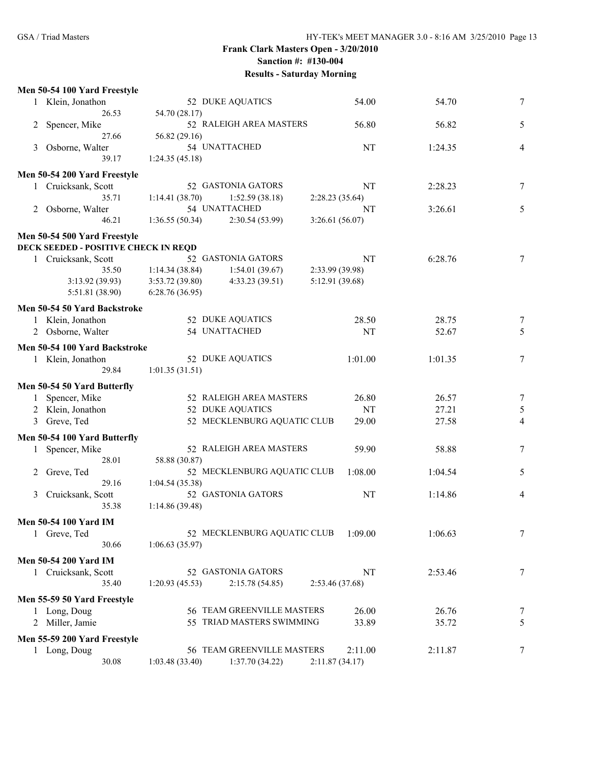|   | Men 50-54 100 Yard Freestyle         |                           |                             |                 |         |                |
|---|--------------------------------------|---------------------------|-----------------------------|-----------------|---------|----------------|
|   | 1 Klein, Jonathon                    | 52 DUKE AQUATICS<br>54.00 |                             |                 | 54.70   | 7              |
|   | 26.53                                | 54.70 (28.17)             |                             |                 |         |                |
| 2 | Spencer, Mike                        |                           | 52 RALEIGH AREA MASTERS     | 56.80           | 56.82   | 5              |
|   | 27.66                                | 56.82 (29.16)             |                             |                 |         |                |
| 3 | Osborne, Walter                      |                           | 54 UNATTACHED               | NT              | 1:24.35 | $\overline{4}$ |
|   | 39.17                                | 1:24.35(45.18)            |                             |                 |         |                |
|   | Men 50-54 200 Yard Freestyle         |                           |                             |                 |         |                |
|   | 1 Cruicksank, Scott                  |                           | 52 GASTONIA GATORS          | NT              | 2:28.23 | 7              |
|   | 35.71                                | 1:14.41(38.70)            | 1:52.59(38.18)              | 2:28.23(35.64)  |         |                |
| 2 | Osborne, Walter                      |                           | 54 UNATTACHED               | NT              | 3:26.61 | 5              |
|   | 46.21                                | 1:36.55(50.34)            | 2:30.54(53.99)              | 3:26.61(56.07)  |         |                |
|   | Men 50-54 500 Yard Freestyle         |                           |                             |                 |         |                |
|   | DECK SEEDED - POSITIVE CHECK IN REQD |                           |                             |                 |         |                |
|   | 1 Cruicksank, Scott                  |                           | 52 GASTONIA GATORS          | NT              | 6:28.76 | 7              |
|   | 35.50                                | 1:14.34(38.84)            | 1:54.01(39.67)              | 2:33.99 (39.98) |         |                |
|   | 3:13.92(39.93)                       | 3:53.72(39.80)            | 4:33.23(39.51)              | 5:12.91 (39.68) |         |                |
|   | 5:51.81 (38.90)                      | 6:28.76(36.95)            |                             |                 |         |                |
|   | Men 50-54 50 Yard Backstroke         |                           |                             |                 |         |                |
|   | 1 Klein, Jonathon                    |                           | 52 DUKE AQUATICS            | 28.50           | 28.75   | 7              |
|   | 2 Osborne, Walter                    |                           | 54 UNATTACHED               | NT              | 52.67   | 5              |
|   |                                      |                           |                             |                 |         |                |
|   | Men 50-54 100 Yard Backstroke        |                           |                             |                 |         |                |
|   | 1 Klein, Jonathon                    |                           | 52 DUKE AQUATICS            | 1:01.00         | 1:01.35 | 7              |
|   | 29.84                                | 1:01.35(31.51)            |                             |                 |         |                |
|   | Men 50-54 50 Yard Butterfly          |                           |                             |                 |         |                |
| 1 | Spencer, Mike                        |                           | 52 RALEIGH AREA MASTERS     | 26.80           | 26.57   | 7              |
|   | 2 Klein, Jonathon                    |                           | 52 DUKE AQUATICS            | NT              | 27.21   | $\sqrt{5}$     |
| 3 | Greve, Ted                           |                           | 52 MECKLENBURG AQUATIC CLUB | 29.00           | 27.58   | $\overline{4}$ |
|   | Men 50-54 100 Yard Butterfly         |                           |                             |                 |         |                |
|   | Spencer, Mike                        |                           | 52 RALEIGH AREA MASTERS     | 59.90           | 58.88   | 7              |
|   | 28.01                                | 58.88 (30.87)             |                             |                 |         |                |
| 2 | Greve, Ted                           |                           | 52 MECKLENBURG AQUATIC CLUB | 1:08.00         | 1:04.54 | 5              |
|   | 29.16                                | 1:04.54 (35.38)           |                             |                 |         |                |
| 3 | Cruicksank, Scott                    |                           | 52 GASTONIA GATORS          | NT              | 1:14.86 | $\overline{4}$ |
|   | 35.38                                | 1:14.86(39.48)            |                             |                 |         |                |
|   |                                      |                           |                             |                 |         |                |
|   |                                      |                           |                             |                 |         |                |
|   | <b>Men 50-54 100 Yard IM</b>         |                           |                             |                 |         |                |
|   | 1 Greve, Ted<br>30.66                |                           | 52 MECKLENBURG AQUATIC CLUB | 1:09.00         | 1:06.63 | 7              |
|   |                                      | 1:06.63(35.97)            |                             |                 |         |                |
|   | Men 50-54 200 Yard IM                |                           |                             |                 |         |                |
|   | 1 Cruicksank, Scott                  |                           | 52 GASTONIA GATORS          | NT              | 2:53.46 | 7              |
|   | 35.40                                | 1:20.93(45.53)            | 2:15.78 (54.85)             | 2:53.46 (37.68) |         |                |
|   | Men 55-59 50 Yard Freestyle          |                           |                             |                 |         |                |
|   | 1 Long, Doug                         |                           | 56 TEAM GREENVILLE MASTERS  | 26.00           | 26.76   | 7              |
|   | Miller, Jamie                        |                           | 55 TRIAD MASTERS SWIMMING   | 33.89           | 35.72   | 5              |
|   | Men 55-59 200 Yard Freestyle         |                           |                             |                 |         |                |
|   | 1 Long, Doug                         |                           | 56 TEAM GREENVILLE MASTERS  | 2:11.00         | 2:11.87 | 7              |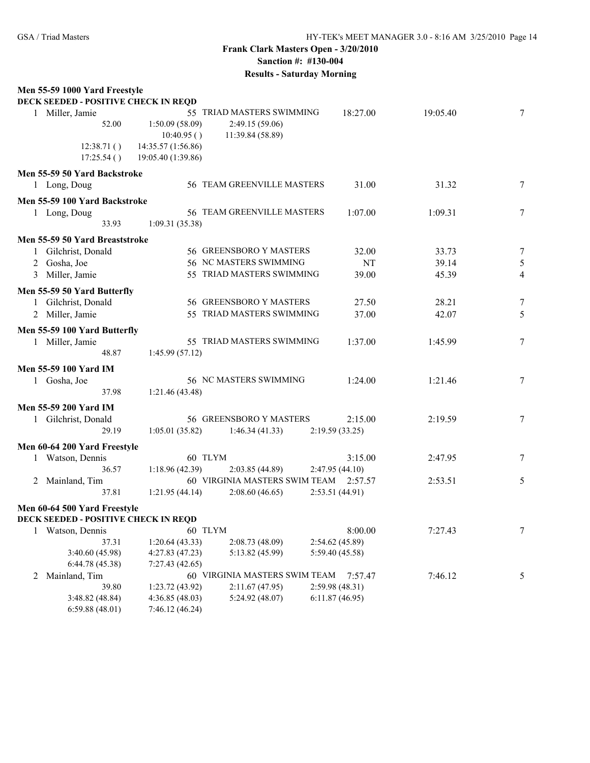# **Frank Clark Masters Open - 3/20/2010 Sanction #: #130-004**

**Results - Saturday Morning**

| Men 55-59 1000 Yard Freestyle<br>DECK SEEDED - POSITIVE CHECK IN REQD |                    |                                       |                 |          |          |                |
|-----------------------------------------------------------------------|--------------------|---------------------------------------|-----------------|----------|----------|----------------|
| 1 Miller, Jamie                                                       |                    | 55 TRIAD MASTERS SWIMMING             |                 | 18:27.00 | 19:05.40 | 7              |
| 52.00                                                                 | 1:50.09 (58.09)    | 2:49.15 (59.06)                       |                 |          |          |                |
|                                                                       | 10:40.95()         | 11:39.84 (58.89)                      |                 |          |          |                |
| 12:38.71()                                                            | 14:35.57 (1:56.86) |                                       |                 |          |          |                |
| 17:25.54()                                                            | 19:05.40 (1:39.86) |                                       |                 |          |          |                |
| Men 55-59 50 Yard Backstroke                                          |                    |                                       |                 |          |          |                |
| 1 Long, Doug                                                          |                    | 56 TEAM GREENVILLE MASTERS            |                 | 31.00    | 31.32    | 7              |
| Men 55-59 100 Yard Backstroke                                         |                    |                                       |                 |          |          |                |
| 1 Long, Doug                                                          |                    | 56 TEAM GREENVILLE MASTERS            |                 | 1:07.00  | 1:09.31  | 7              |
| 33.93                                                                 | 1:09.31(35.38)     |                                       |                 |          |          |                |
| Men 55-59 50 Yard Breaststroke                                        |                    |                                       |                 |          |          |                |
| 1 Gilchrist, Donald                                                   |                    | 56 GREENSBORO Y MASTERS               |                 | 32.00    | 33.73    | 7              |
| Gosha, Joe                                                            |                    | 56 NC MASTERS SWIMMING                |                 | NT       | 39.14    | $\sqrt{5}$     |
| 3 Miller, Jamie                                                       |                    | 55 TRIAD MASTERS SWIMMING             |                 | 39.00    | 45.39    | $\overline{4}$ |
| Men 55-59 50 Yard Butterfly                                           |                    |                                       |                 |          |          |                |
| 1 Gilchrist, Donald                                                   |                    | 56 GREENSBORO Y MASTERS               |                 | 27.50    | 28.21    | 7              |
| 2 Miller, Jamie                                                       |                    | 55 TRIAD MASTERS SWIMMING             |                 | 37.00    | 42.07    | 5              |
|                                                                       |                    |                                       |                 |          |          |                |
| Men 55-59 100 Yard Butterfly                                          |                    |                                       |                 |          |          |                |
| 1 Miller, Jamie                                                       |                    | 55 TRIAD MASTERS SWIMMING             |                 | 1:37.00  | 1:45.99  | 7              |
| 48.87                                                                 | 1:45.99(57.12)     |                                       |                 |          |          |                |
| <b>Men 55-59 100 Yard IM</b>                                          |                    |                                       |                 |          |          |                |
| 1 Gosha, Joe                                                          |                    | 56 NC MASTERS SWIMMING                |                 | 1:24.00  | 1:21.46  | 7              |
| 37.98                                                                 | 1:21.46(43.48)     |                                       |                 |          |          |                |
| Men 55-59 200 Yard IM                                                 |                    |                                       |                 |          |          |                |
| 1 Gilchrist, Donald                                                   |                    | 56 GREENSBORO Y MASTERS               |                 | 2:15.00  | 2:19.59  | 7              |
| 29.19                                                                 | 1:05.01(35.82)     | 1:46.34(41.33)                        | 2:19.59(33.25)  |          |          |                |
| Men 60-64 200 Yard Freestyle                                          |                    |                                       |                 |          |          |                |
| 1 Watson, Dennis                                                      | 60 TLYM            |                                       |                 | 3:15.00  | 2:47.95  | 7              |
| 36.57                                                                 | 1:18.96 (42.39)    | 2:03.85(44.89)                        | 2:47.95(44.10)  |          |          |                |
| 2 Mainland, Tim                                                       |                    | 60 VIRGINIA MASTERS SWIM TEAM 2:57.57 |                 |          | 2:53.51  | 5              |
| 37.81                                                                 | 1:21.95(44.14)     | 2:08.60(46.65)                        | 2:53.51 (44.91) |          |          |                |
| Men 60-64 500 Yard Freestyle                                          |                    |                                       |                 |          |          |                |
| DECK SEEDED - POSITIVE CHECK IN REQD                                  |                    |                                       |                 |          |          |                |
| 1 Watson, Dennis                                                      | 60 TLYM            |                                       |                 | 8:00.00  | 7:27.43  | 7              |
| 37.31                                                                 | 1:20.64(43.33)     | 2:08.73 (48.09)                       | 2:54.62 (45.89) |          |          |                |
| 3:40.60 (45.98)                                                       | 4:27.83(47.23)     | 5:13.82 (45.99)                       | 5:59.40 (45.58) |          |          |                |
| 6:44.78(45.38)                                                        | 7:27.43(42.65)     |                                       |                 |          |          |                |
| 2 Mainland, Tim                                                       |                    | 60 VIRGINIA MASTERS SWIM TEAM         |                 | 7:57.47  | 7:46.12  | 5              |
| 39.80                                                                 | 1:23.72(43.92)     | 2:11.67(47.95)                        | 2:59.98(48.31)  |          |          |                |
| 3:48.82 (48.84)                                                       | 4:36.85(48.03)     | 5:24.92 (48.07)                       | 6:11.87(46.95)  |          |          |                |
| 6:59.88(48.01)                                                        | 7:46.12 (46.24)    |                                       |                 |          |          |                |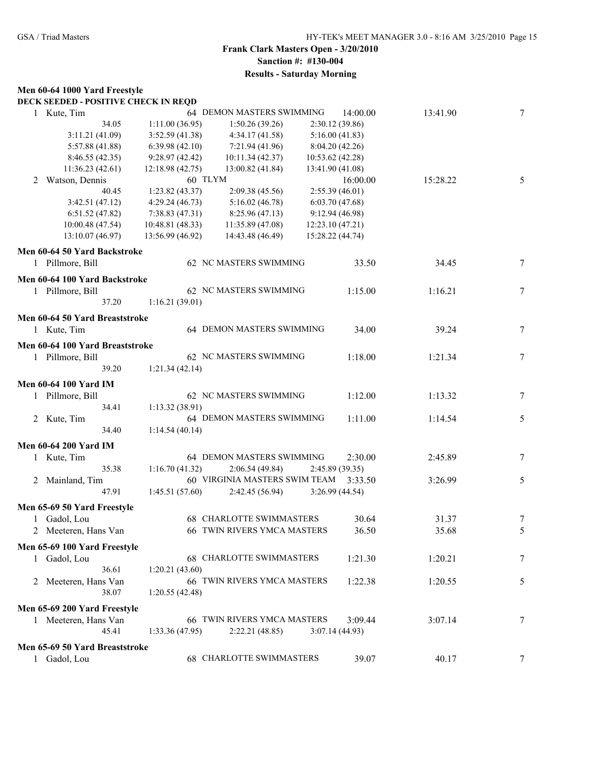#### **Men 60-64 1000 Yard Freestyle**

|  |  | DECK SEEDED - POSITIVE CHECK IN REQD |  |  |
|--|--|--------------------------------------|--|--|
|--|--|--------------------------------------|--|--|

| 1 Kute, Tim                     |                          | 64 DEMON MASTERS SWIMMING     | 14:00.00         | 13:41.90 | $\tau$ |
|---------------------------------|--------------------------|-------------------------------|------------------|----------|--------|
|                                 | 34.05<br>1:11.00(36.95)  | 1:50.26(39.26)                | 2:30.12 (39.86)  |          |        |
| 3:11.21(41.09)                  | 3:52.59(41.38)           | 4:34.17(41.58)                | 5:16.00(41.83)   |          |        |
| 5:57.88 (41.88)                 | 6:39.98(42.10)           | 7:21.94 (41.96)               | 8:04.20 (42.26)  |          |        |
| 8:46.55(42.35)                  | 9:28.97(42.42)           | 10:11.34(42.37)               | 10:53.62 (42.28) |          |        |
| 11:36.23(42.61)                 | 12:18.98 (42.75)         | 13:00.82(41.84)               | 13:41.90 (41.08) |          |        |
| Watson, Dennis<br>2             | 60 TLYM                  |                               | 16:00.00         | 15:28.22 | 5      |
|                                 | 40.45<br>1:23.82 (43.37) | 2:09.38 (45.56)               | 2:55.39(46.01)   |          |        |
| 3:42.51(47.12)                  | 4:29.24(46.73)           | 5:16.02(46.78)                | 6:03.70(47.68)   |          |        |
| 6:51.52(47.82)                  | 7:38.83(47.31)           | 8:25.96(47.13)                | 9:12.94(46.98)   |          |        |
| 10:00.48 (47.54)                | 10:48.81 (48.33)         | 11:35.89 (47.08)              | 12:23.10(47.21)  |          |        |
| 13:10.07 (46.97)                | 13:56.99 (46.92)         | 14:43.48 (46.49)              | 15:28.22 (44.74) |          |        |
| Men 60-64 50 Yard Backstroke    |                          |                               |                  |          |        |
| 1 Pillmore, Bill                |                          | 62 NC MASTERS SWIMMING        | 33.50            | 34.45    | 7      |
| Men 60-64 100 Yard Backstroke   |                          |                               |                  |          |        |
| 1 Pillmore, Bill                |                          | 62 NC MASTERS SWIMMING        | 1:15.00          | 1:16.21  | 7      |
|                                 | 37.20<br>1:16.21(39.01)  |                               |                  |          |        |
|                                 |                          |                               |                  |          |        |
| Men 60-64 50 Yard Breaststroke  |                          |                               |                  |          |        |
| 1 Kute, Tim                     |                          | 64 DEMON MASTERS SWIMMING     | 34.00            | 39.24    | 7      |
| Men 60-64 100 Yard Breaststroke |                          |                               |                  |          |        |
| 1 Pillmore, Bill                |                          | 62 NC MASTERS SWIMMING        | 1:18.00          | 1:21.34  | $\tau$ |
|                                 | 39.20<br>1:21.34(42.14)  |                               |                  |          |        |
| <b>Men 60-64 100 Yard IM</b>    |                          |                               |                  |          |        |
| 1 Pillmore, Bill                |                          | 62 NC MASTERS SWIMMING        | 1:12.00          | 1:13.32  | $\tau$ |
|                                 | 34.41<br>1:13.32 (38.91) |                               |                  |          |        |
| 2 Kute, Tim                     |                          | 64 DEMON MASTERS SWIMMING     | 1:11.00          | 1:14.54  | 5      |
|                                 | 34.40<br>1:14.54(40.14)  |                               |                  |          |        |
|                                 |                          |                               |                  |          |        |
| <b>Men 60-64 200 Yard IM</b>    |                          |                               |                  |          |        |
| 1 Kute, Tim                     |                          | 64 DEMON MASTERS SWIMMING     | 2:30.00          | 2:45.89  | 7      |
|                                 | 35.38<br>1:16.70(41.32)  | 2:06.54(49.84)                | 2:45.89(39.35)   |          |        |
| 2 Mainland, Tim                 |                          | 60 VIRGINIA MASTERS SWIM TEAM | 3:33.50          | 3:26.99  | 5      |
|                                 | 47.91<br>1:45.51(57.60)  | 2:42.45 (56.94)               | 3:26.99(44.54)   |          |        |
| Men 65-69 50 Yard Freestyle     |                          |                               |                  |          |        |
| Gadol, Lou                      |                          | 68 CHARLOTTE SWIMMASTERS      | 30.64            | 31.37    | 7      |
| 2 Meeteren, Hans Van            |                          | 66 TWIN RIVERS YMCA MASTERS   | 36.50            | 35.68    | 5      |
| Men 65-69 100 Yard Freestyle    |                          |                               |                  |          |        |
| 1 Gadol, Lou                    |                          | 68 CHARLOTTE SWIMMASTERS      | 1:21.30          | 1:20.21  | 7      |
|                                 | 36.61<br>1:20.21(43.60)  |                               |                  |          |        |
| Meeteren, Hans Van<br>2         |                          | 66 TWIN RIVERS YMCA MASTERS   | 1:22.38          | 1:20.55  | 5      |
|                                 | 38.07<br>1:20.55(42.48)  |                               |                  |          |        |
|                                 |                          |                               |                  |          |        |
| Men 65-69 200 Yard Freestyle    |                          |                               |                  |          |        |
| 1 Meeteren, Hans Van            |                          | 66 TWIN RIVERS YMCA MASTERS   | 3:09.44          | 3:07.14  | 7      |
|                                 | 45.41<br>1:33.36(47.95)  | 2:22.21(48.85)                | 3:07.14(44.93)   |          |        |
| Men 65-69 50 Yard Breaststroke  |                          |                               |                  |          |        |
| Gadol, Lou                      |                          | 68 CHARLOTTE SWIMMASTERS      | 39.07            | 40.17    | $\tau$ |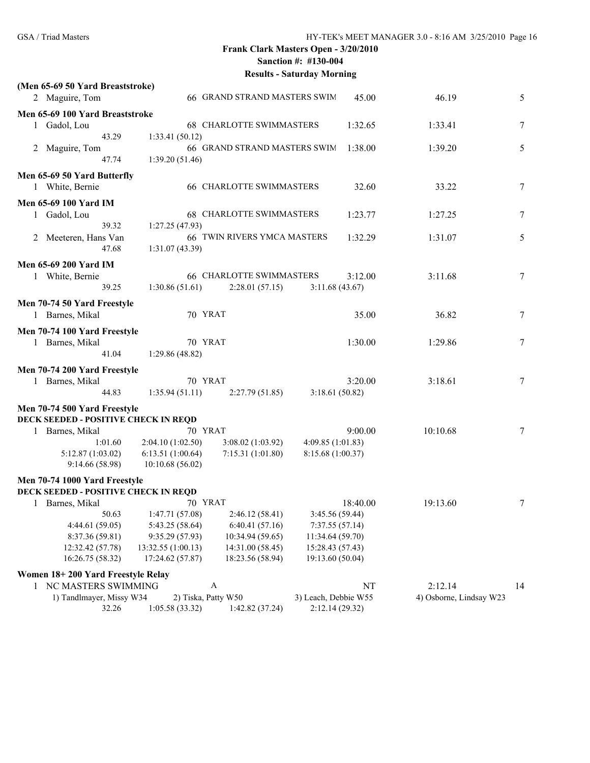|                                                |                    | Results - Saturuay Morning      |                   |          |          |                |
|------------------------------------------------|--------------------|---------------------------------|-------------------|----------|----------|----------------|
| (Men 65-69 50 Yard Breaststroke)               |                    |                                 |                   |          |          |                |
| 2 Maguire, Tom                                 |                    | 66 GRAND STRAND MASTERS SWIM    |                   | 45.00    | 46.19    | 5              |
| Men 65-69 100 Yard Breaststroke                |                    |                                 |                   |          |          |                |
| 1 Gadol, Lou                                   |                    | <b>68 CHARLOTTE SWIMMASTERS</b> |                   | 1:32.65  | 1:33.41  | 7              |
| 43.29                                          | 1:33.41(50.12)     |                                 |                   |          |          |                |
| 2 Maguire, Tom                                 |                    | 66 GRAND STRAND MASTERS SWIM    |                   | 1:38.00  | 1:39.20  | 5              |
| 47.74                                          | 1:39.20(51.46)     |                                 |                   |          |          |                |
| Men 65-69 50 Yard Butterfly                    |                    |                                 |                   |          |          |                |
| 1 White, Bernie                                |                    | <b>66 CHARLOTTE SWIMMASTERS</b> |                   | 32.60    | 33.22    | 7              |
| <b>Men 65-69 100 Yard IM</b>                   |                    |                                 |                   |          |          |                |
| 1 Gadol, Lou                                   |                    | <b>68 CHARLOTTE SWIMMASTERS</b> |                   | 1:23.77  | 1:27.25  | $\overline{7}$ |
| 39.32                                          | 1:27.25(47.93)     |                                 |                   |          |          |                |
| 2 Meeteren, Hans Van                           |                    | 66 TWIN RIVERS YMCA MASTERS     |                   | 1:32.29  | 1:31.07  | 5              |
| 47.68                                          | 1:31.07 (43.39)    |                                 |                   |          |          |                |
| Men 65-69 200 Yard IM                          |                    |                                 |                   |          |          |                |
| 1 White, Bernie                                |                    | <b>66 CHARLOTTE SWIMMASTERS</b> |                   | 3:12.00  | 3:11.68  | 7              |
| 39.25                                          | 1:30.86(51.61)     | 2:28.01(57.15)                  | 3:11.68(43.67)    |          |          |                |
|                                                |                    |                                 |                   |          |          |                |
| Men 70-74 50 Yard Freestyle<br>1 Barnes, Mikal | 70 YRAT            |                                 |                   | 35.00    | 36.82    | 7              |
|                                                |                    |                                 |                   |          |          |                |
| Men 70-74 100 Yard Freestyle                   |                    |                                 |                   |          |          |                |
| 1 Barnes, Mikal                                | 70 YRAT            |                                 |                   | 1:30.00  | 1:29.86  | 7              |
| 41.04                                          | 1:29.86(48.82)     |                                 |                   |          |          |                |
| Men 70-74 200 Yard Freestyle                   |                    |                                 |                   |          |          |                |
| 1 Barnes, Mikal                                | 70 YRAT            |                                 |                   | 3:20.00  | 3:18.61  | 7              |
| 44.83                                          | 1:35.94(51.11)     | 2:27.79(51.85)                  | 3:18.61(50.82)    |          |          |                |
| Men 70-74 500 Yard Freestyle                   |                    |                                 |                   |          |          |                |
| <b>DECK SEEDED - POSITIVE CHECK IN REQD</b>    |                    |                                 |                   |          |          |                |
| 1 Barnes, Mikal                                | 70 YRAT            |                                 |                   | 9:00.00  | 10:10.68 | 7              |
| 1:01.60                                        | 2:04.10(1:02.50)   | 3:08.02(1:03.92)                | 4:09.85 (1:01.83) |          |          |                |
| 5:12.87(1:03.02)                               | 6:13.51(1:00.64)   | 7:15.31(1:01.80)                | 8:15.68 (1:00.37) |          |          |                |
| 9:14.66(58.98)                                 | 10:10.68(56.02)    |                                 |                   |          |          |                |
| Men 70-74 1000 Yard Freestyle                  |                    |                                 |                   |          |          |                |
| <b>DECK SEEDED - POSITIVE CHECK IN REQD</b>    |                    |                                 |                   |          |          |                |
| 1 Barnes, Mikal                                | 70 YRAT            |                                 |                   | 18:40.00 | 19:13.60 | $\overline{7}$ |
| 50.63                                          | 1:47.71 (57.08)    | 2:46.12(58.41)                  | 3:45.56 (59.44)   |          |          |                |
| 4:44.61(59.05)                                 | 5:43.25 (58.64)    | 6:40.41(57.16)                  | 7:37.55(57.14)    |          |          |                |
| 8:37.36 (59.81)                                | 9:35.29 (57.93)    | 10:34.94 (59.65)                | 11:34.64 (59.70)  |          |          |                |
| 12:32.42 (57.78)                               | 13:32.55 (1:00.13) | 14:31.00 (58.45)                | 15:28.43 (57.43)  |          |          |                |
| 16:26.75 (58.32)                               | 17:24.62 (57.87)   | 18:23.56 (58.94)                | 19:13.60 (50.04)  |          |          |                |
| Women 18+200 Yard Freestyle Relay              |                    |                                 |                   |          |          |                |
| 1 NC MASTERS SWIMMING                          |                    | A                               |                   | NT       | 2:12.14  | 14             |

1) Tandlmayer, Missy W34 2) Tiska, Patty W50 3) Leach, Debbie W55 4) Osborne, Lindsay W23 32.26 1:05.58 (33.32) 1:42.82 (37.24) 2:12.14 (29.32)